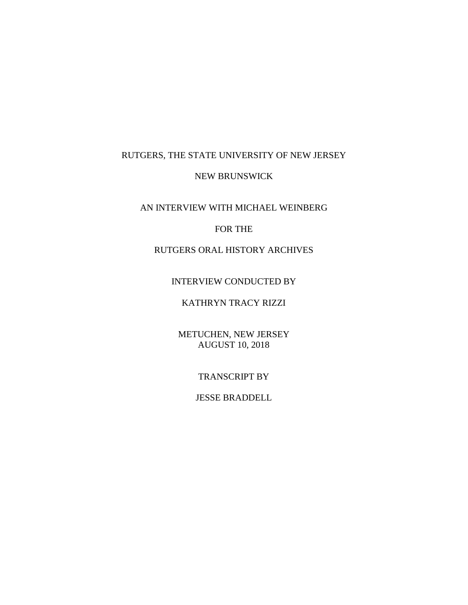# RUTGERS, THE STATE UNIVERSITY OF NEW JERSEY

#### NEW BRUNSWICK

AN INTERVIEW WITH MICHAEL WEINBERG

## FOR THE

# RUTGERS ORAL HISTORY ARCHIVES

## INTERVIEW CONDUCTED BY

## KATHRYN TRACY RIZZI

METUCHEN, NEW JERSEY AUGUST 10, 2018

## TRANSCRIPT BY

## JESSE BRADDELL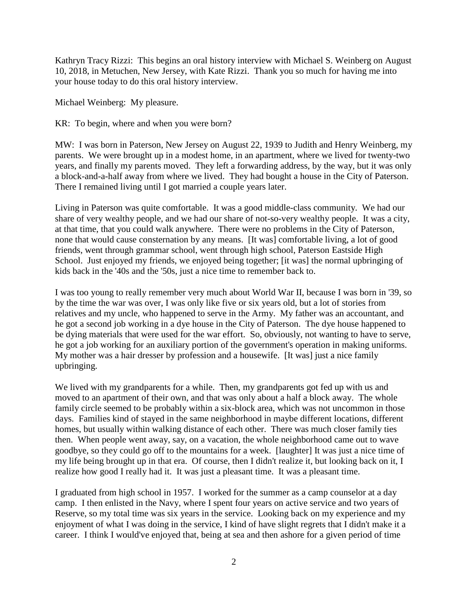Kathryn Tracy Rizzi: This begins an oral history interview with Michael S. Weinberg on August 10, 2018, in Metuchen, New Jersey, with Kate Rizzi. Thank you so much for having me into your house today to do this oral history interview.

Michael Weinberg: My pleasure.

KR: To begin, where and when you were born?

MW: I was born in Paterson, New Jersey on August 22, 1939 to Judith and Henry Weinberg, my parents. We were brought up in a modest home, in an apartment, where we lived for twenty-two years, and finally my parents moved. They left a forwarding address, by the way, but it was only a block-and-a-half away from where we lived. They had bought a house in the City of Paterson. There I remained living until I got married a couple years later.

Living in Paterson was quite comfortable. It was a good middle-class community. We had our share of very wealthy people, and we had our share of not-so-very wealthy people. It was a city, at that time, that you could walk anywhere. There were no problems in the City of Paterson, none that would cause consternation by any means. [It was] comfortable living, a lot of good friends, went through grammar school, went through high school, Paterson Eastside High School. Just enjoyed my friends, we enjoyed being together; [it was] the normal upbringing of kids back in the '40s and the '50s, just a nice time to remember back to.

I was too young to really remember very much about World War II, because I was born in '39, so by the time the war was over, I was only like five or six years old, but a lot of stories from relatives and my uncle, who happened to serve in the Army. My father was an accountant, and he got a second job working in a dye house in the City of Paterson. The dye house happened to be dying materials that were used for the war effort. So, obviously, not wanting to have to serve, he got a job working for an auxiliary portion of the government's operation in making uniforms. My mother was a hair dresser by profession and a housewife. [It was] just a nice family upbringing.

We lived with my grandparents for a while. Then, my grandparents got fed up with us and moved to an apartment of their own, and that was only about a half a block away. The whole family circle seemed to be probably within a six-block area, which was not uncommon in those days. Families kind of stayed in the same neighborhood in maybe different locations, different homes, but usually within walking distance of each other. There was much closer family ties then. When people went away, say, on a vacation, the whole neighborhood came out to wave goodbye, so they could go off to the mountains for a week. [laughter] It was just a nice time of my life being brought up in that era. Of course, then I didn't realize it, but looking back on it, I realize how good I really had it. It was just a pleasant time. It was a pleasant time.

I graduated from high school in 1957. I worked for the summer as a camp counselor at a day camp. I then enlisted in the Navy, where I spent four years on active service and two years of Reserve, so my total time was six years in the service. Looking back on my experience and my enjoyment of what I was doing in the service, I kind of have slight regrets that I didn't make it a career. I think I would've enjoyed that, being at sea and then ashore for a given period of time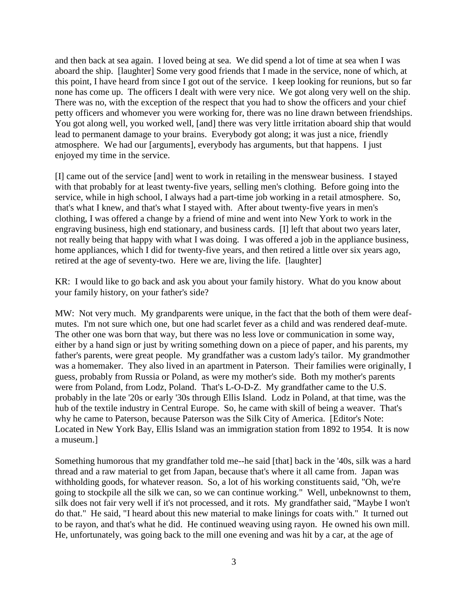and then back at sea again. I loved being at sea. We did spend a lot of time at sea when I was aboard the ship. [laughter] Some very good friends that I made in the service, none of which, at this point, I have heard from since I got out of the service. I keep looking for reunions, but so far none has come up. The officers I dealt with were very nice. We got along very well on the ship. There was no, with the exception of the respect that you had to show the officers and your chief petty officers and whomever you were working for, there was no line drawn between friendships. You got along well, you worked well, [and] there was very little irritation aboard ship that would lead to permanent damage to your brains. Everybody got along; it was just a nice, friendly atmosphere. We had our [arguments], everybody has arguments, but that happens. I just enjoyed my time in the service.

[I] came out of the service [and] went to work in retailing in the menswear business. I stayed with that probably for at least twenty-five years, selling men's clothing. Before going into the service, while in high school, I always had a part-time job working in a retail atmosphere. So, that's what I knew, and that's what I stayed with. After about twenty-five years in men's clothing, I was offered a change by a friend of mine and went into New York to work in the engraving business, high end stationary, and business cards. [I] left that about two years later, not really being that happy with what I was doing. I was offered a job in the appliance business, home appliances, which I did for twenty-five years, and then retired a little over six years ago, retired at the age of seventy-two. Here we are, living the life. [laughter]

KR: I would like to go back and ask you about your family history. What do you know about your family history, on your father's side?

MW: Not very much. My grandparents were unique, in the fact that the both of them were deafmutes. I'm not sure which one, but one had scarlet fever as a child and was rendered deaf-mute. The other one was born that way, but there was no less love or communication in some way, either by a hand sign or just by writing something down on a piece of paper, and his parents, my father's parents, were great people. My grandfather was a custom lady's tailor. My grandmother was a homemaker. They also lived in an apartment in Paterson. Their families were originally, I guess, probably from Russia or Poland, as were my mother's side. Both my mother's parents were from Poland, from Lodz, Poland. That's L-O-D-Z. My grandfather came to the U.S. probably in the late '20s or early '30s through Ellis Island. Lodz in Poland, at that time, was the hub of the textile industry in Central Europe. So, he came with skill of being a weaver. That's why he came to Paterson, because Paterson was the Silk City of America. [Editor's Note: Located in New York Bay, Ellis Island was an immigration station from 1892 to 1954. It is now a museum.]

Something humorous that my grandfather told me--he said [that] back in the '40s, silk was a hard thread and a raw material to get from Japan, because that's where it all came from. Japan was withholding goods, for whatever reason. So, a lot of his working constituents said, "Oh, we're going to stockpile all the silk we can, so we can continue working." Well, unbeknownst to them, silk does not fair very well if it's not processed, and it rots. My grandfather said, "Maybe I won't do that." He said, "I heard about this new material to make linings for coats with." It turned out to be rayon, and that's what he did. He continued weaving using rayon. He owned his own mill. He, unfortunately, was going back to the mill one evening and was hit by a car, at the age of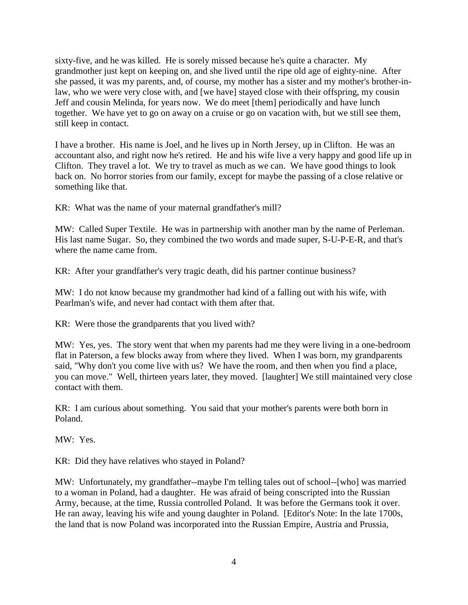sixty-five, and he was killed. He is sorely missed because he's quite a character. My grandmother just kept on keeping on, and she lived until the ripe old age of eighty-nine. After she passed, it was my parents, and, of course, my mother has a sister and my mother's brother-inlaw, who we were very close with, and [we have] stayed close with their offspring, my cousin Jeff and cousin Melinda, for years now. We do meet [them] periodically and have lunch together. We have yet to go on away on a cruise or go on vacation with, but we still see them, still keep in contact.

I have a brother. His name is Joel, and he lives up in North Jersey, up in Clifton. He was an accountant also, and right now he's retired. He and his wife live a very happy and good life up in Clifton. They travel a lot. We try to travel as much as we can. We have good things to look back on. No horror stories from our family, except for maybe the passing of a close relative or something like that.

KR: What was the name of your maternal grandfather's mill?

MW: Called Super Textile. He was in partnership with another man by the name of Perleman. His last name Sugar. So, they combined the two words and made super, S-U-P-E-R, and that's where the name came from.

KR: After your grandfather's very tragic death, did his partner continue business?

MW: I do not know because my grandmother had kind of a falling out with his wife, with Pearlman's wife, and never had contact with them after that.

KR: Were those the grandparents that you lived with?

MW: Yes, yes. The story went that when my parents had me they were living in a one-bedroom flat in Paterson, a few blocks away from where they lived. When I was born, my grandparents said, "Why don't you come live with us? We have the room, and then when you find a place, you can move." Well, thirteen years later, they moved. [laughter] We still maintained very close contact with them.

KR: I am curious about something. You said that your mother's parents were both born in Poland.

MW: Yes.

KR: Did they have relatives who stayed in Poland?

MW: Unfortunately, my grandfather--maybe I'm telling tales out of school--[who] was married to a woman in Poland, had a daughter. He was afraid of being conscripted into the Russian Army, because, at the time, Russia controlled Poland. It was before the Germans took it over. He ran away, leaving his wife and young daughter in Poland. [Editor's Note: In the late 1700s, the land that is now Poland was incorporated into the Russian Empire, Austria and Prussia,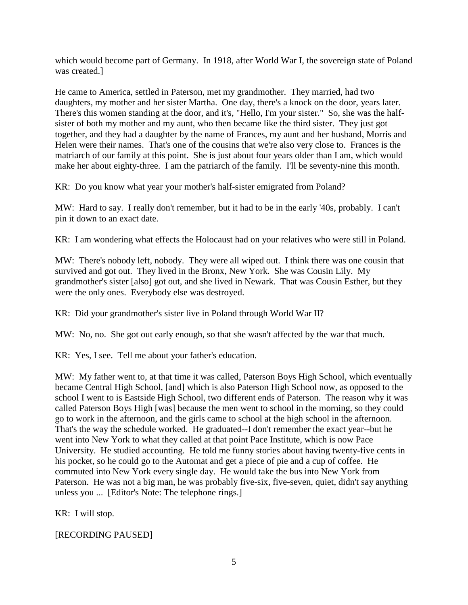which would become part of Germany. In 1918, after World War I, the sovereign state of Poland was created.]

He came to America, settled in Paterson, met my grandmother. They married, had two daughters, my mother and her sister Martha. One day, there's a knock on the door, years later. There's this women standing at the door, and it's, "Hello, I'm your sister." So, she was the halfsister of both my mother and my aunt, who then became like the third sister. They just got together, and they had a daughter by the name of Frances, my aunt and her husband, Morris and Helen were their names. That's one of the cousins that we're also very close to. Frances is the matriarch of our family at this point. She is just about four years older than I am, which would make her about eighty-three. I am the patriarch of the family. I'll be seventy-nine this month.

KR: Do you know what year your mother's half-sister emigrated from Poland?

MW: Hard to say. I really don't remember, but it had to be in the early '40s, probably. I can't pin it down to an exact date.

KR: I am wondering what effects the Holocaust had on your relatives who were still in Poland.

MW: There's nobody left, nobody. They were all wiped out. I think there was one cousin that survived and got out. They lived in the Bronx, New York. She was Cousin Lily. My grandmother's sister [also] got out, and she lived in Newark. That was Cousin Esther, but they were the only ones. Everybody else was destroyed.

KR: Did your grandmother's sister live in Poland through World War II?

MW: No, no. She got out early enough, so that she wasn't affected by the war that much.

KR: Yes, I see. Tell me about your father's education.

MW: My father went to, at that time it was called, Paterson Boys High School, which eventually became Central High School, [and] which is also Paterson High School now, as opposed to the school I went to is Eastside High School, two different ends of Paterson. The reason why it was called Paterson Boys High [was] because the men went to school in the morning, so they could go to work in the afternoon, and the girls came to school at the high school in the afternoon. That's the way the schedule worked. He graduated--I don't remember the exact year--but he went into New York to what they called at that point Pace Institute, which is now Pace University. He studied accounting. He told me funny stories about having twenty-five cents in his pocket, so he could go to the Automat and get a piece of pie and a cup of coffee. He commuted into New York every single day. He would take the bus into New York from Paterson. He was not a big man, he was probably five-six, five-seven, quiet, didn't say anything unless you ... [Editor's Note: The telephone rings.]

KR: I will stop.

[RECORDING PAUSED]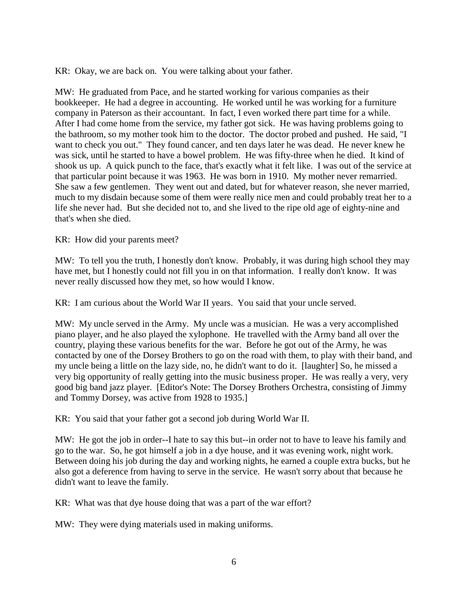KR: Okay, we are back on. You were talking about your father.

MW: He graduated from Pace, and he started working for various companies as their bookkeeper. He had a degree in accounting. He worked until he was working for a furniture company in Paterson as their accountant. In fact, I even worked there part time for a while. After I had come home from the service, my father got sick. He was having problems going to the bathroom, so my mother took him to the doctor. The doctor probed and pushed. He said, "I want to check you out." They found cancer, and ten days later he was dead. He never knew he was sick, until he started to have a bowel problem. He was fifty-three when he died. It kind of shook us up. A quick punch to the face, that's exactly what it felt like. I was out of the service at that particular point because it was 1963. He was born in 1910. My mother never remarried. She saw a few gentlemen. They went out and dated, but for whatever reason, she never married, much to my disdain because some of them were really nice men and could probably treat her to a life she never had. But she decided not to, and she lived to the ripe old age of eighty-nine and that's when she died.

KR: How did your parents meet?

MW: To tell you the truth, I honestly don't know. Probably, it was during high school they may have met, but I honestly could not fill you in on that information. I really don't know. It was never really discussed how they met, so how would I know.

KR: I am curious about the World War II years. You said that your uncle served.

MW: My uncle served in the Army. My uncle was a musician. He was a very accomplished piano player, and he also played the xylophone. He travelled with the Army band all over the country, playing these various benefits for the war. Before he got out of the Army, he was contacted by one of the Dorsey Brothers to go on the road with them, to play with their band, and my uncle being a little on the lazy side, no, he didn't want to do it. [laughter] So, he missed a very big opportunity of really getting into the music business proper. He was really a very, very good big band jazz player. [Editor's Note: The Dorsey Brothers Orchestra, consisting of Jimmy and Tommy Dorsey, was active from 1928 to 1935.]

KR: You said that your father got a second job during World War II.

MW: He got the job in order--I hate to say this but--in order not to have to leave his family and go to the war. So, he got himself a job in a dye house, and it was evening work, night work. Between doing his job during the day and working nights, he earned a couple extra bucks, but he also got a deference from having to serve in the service. He wasn't sorry about that because he didn't want to leave the family.

KR: What was that dye house doing that was a part of the war effort?

MW: They were dying materials used in making uniforms.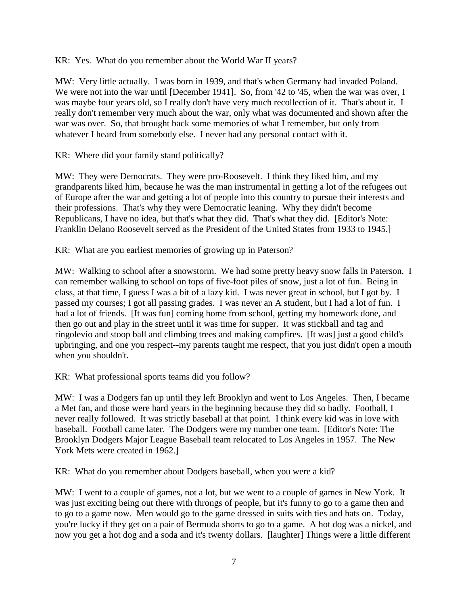KR: Yes. What do you remember about the World War II years?

MW: Very little actually. I was born in 1939, and that's when Germany had invaded Poland. We were not into the war until [December 1941]. So, from '42 to '45, when the war was over, I was maybe four years old, so I really don't have very much recollection of it. That's about it. I really don't remember very much about the war, only what was documented and shown after the war was over. So, that brought back some memories of what I remember, but only from whatever I heard from somebody else. I never had any personal contact with it.

KR: Where did your family stand politically?

MW: They were Democrats. They were pro-Roosevelt. I think they liked him, and my grandparents liked him, because he was the man instrumental in getting a lot of the refugees out of Europe after the war and getting a lot of people into this country to pursue their interests and their professions. That's why they were Democratic leaning. Why they didn't become Republicans, I have no idea, but that's what they did. That's what they did. [Editor's Note: Franklin Delano Roosevelt served as the President of the United States from 1933 to 1945.]

KR: What are you earliest memories of growing up in Paterson?

MW: Walking to school after a snowstorm. We had some pretty heavy snow falls in Paterson. I can remember walking to school on tops of five-foot piles of snow, just a lot of fun. Being in class, at that time, I guess I was a bit of a lazy kid. I was never great in school, but I got by. I passed my courses; I got all passing grades. I was never an A student, but I had a lot of fun. I had a lot of friends. [It was fun] coming home from school, getting my homework done, and then go out and play in the street until it was time for supper. It was stickball and tag and ringolevio and stoop ball and climbing trees and making campfires. [It was] just a good child's upbringing, and one you respect--my parents taught me respect, that you just didn't open a mouth when you shouldn't.

KR: What professional sports teams did you follow?

MW: I was a Dodgers fan up until they left Brooklyn and went to Los Angeles. Then, I became a Met fan, and those were hard years in the beginning because they did so badly. Football, I never really followed. It was strictly baseball at that point. I think every kid was in love with baseball. Football came later. The Dodgers were my number one team. [Editor's Note: The Brooklyn Dodgers Major League Baseball team relocated to Los Angeles in 1957. The New York Mets were created in 1962.]

KR: What do you remember about Dodgers baseball, when you were a kid?

MW: I went to a couple of games, not a lot, but we went to a couple of games in New York. It was just exciting being out there with throngs of people, but it's funny to go to a game then and to go to a game now. Men would go to the game dressed in suits with ties and hats on. Today, you're lucky if they get on a pair of Bermuda shorts to go to a game. A hot dog was a nickel, and now you get a hot dog and a soda and it's twenty dollars. [laughter] Things were a little different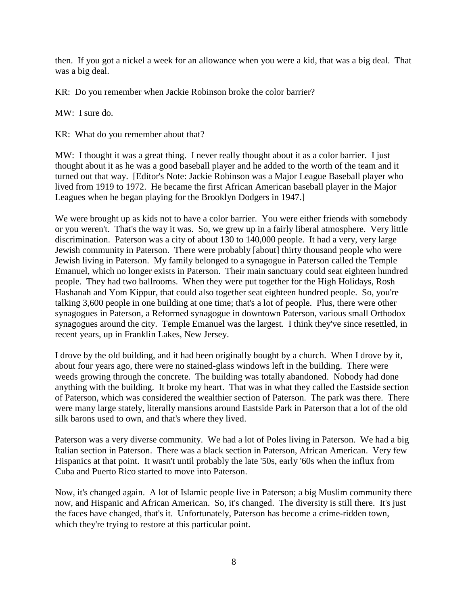then. If you got a nickel a week for an allowance when you were a kid, that was a big deal. That was a big deal.

KR: Do you remember when Jackie Robinson broke the color barrier?

MW: I sure do.

KR: What do you remember about that?

MW: I thought it was a great thing. I never really thought about it as a color barrier. I just thought about it as he was a good baseball player and he added to the worth of the team and it turned out that way. [Editor's Note: Jackie Robinson was a Major League Baseball player who lived from 1919 to 1972. He became the first African American baseball player in the Major Leagues when he began playing for the Brooklyn Dodgers in 1947.]

We were brought up as kids not to have a color barrier. You were either friends with somebody or you weren't. That's the way it was. So, we grew up in a fairly liberal atmosphere. Very little discrimination. Paterson was a city of about 130 to 140,000 people. It had a very, very large Jewish community in Paterson. There were probably [about] thirty thousand people who were Jewish living in Paterson. My family belonged to a synagogue in Paterson called the Temple Emanuel, which no longer exists in Paterson. Their main sanctuary could seat eighteen hundred people. They had two ballrooms. When they were put together for the High Holidays, Rosh Hashanah and Yom Kippur, that could also together seat eighteen hundred people. So, you're talking 3,600 people in one building at one time; that's a lot of people. Plus, there were other synagogues in Paterson, a Reformed synagogue in downtown Paterson, various small Orthodox synagogues around the city. Temple Emanuel was the largest. I think they've since resettled, in recent years, up in Franklin Lakes, New Jersey.

I drove by the old building, and it had been originally bought by a church. When I drove by it, about four years ago, there were no stained-glass windows left in the building. There were weeds growing through the concrete. The building was totally abandoned. Nobody had done anything with the building. It broke my heart. That was in what they called the Eastside section of Paterson, which was considered the wealthier section of Paterson. The park was there. There were many large stately, literally mansions around Eastside Park in Paterson that a lot of the old silk barons used to own, and that's where they lived.

Paterson was a very diverse community. We had a lot of Poles living in Paterson. We had a big Italian section in Paterson. There was a black section in Paterson, African American. Very few Hispanics at that point. It wasn't until probably the late '50s, early '60s when the influx from Cuba and Puerto Rico started to move into Paterson.

Now, it's changed again. A lot of Islamic people live in Paterson; a big Muslim community there now, and Hispanic and African American. So, it's changed. The diversity is still there. It's just the faces have changed, that's it. Unfortunately, Paterson has become a crime-ridden town, which they're trying to restore at this particular point.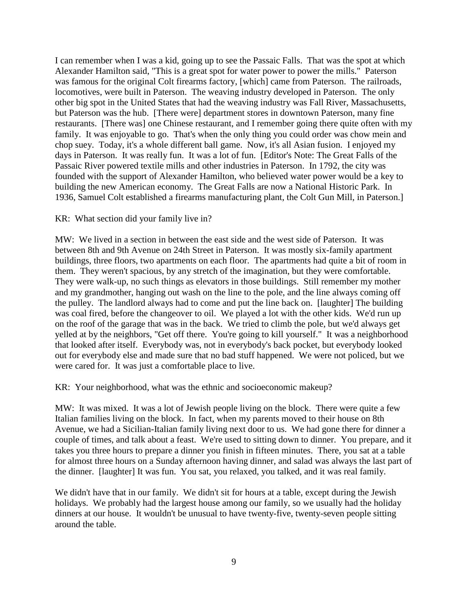I can remember when I was a kid, going up to see the Passaic Falls. That was the spot at which Alexander Hamilton said, "This is a great spot for water power to power the mills." Paterson was famous for the original Colt firearms factory, [which] came from Paterson. The railroads, locomotives, were built in Paterson. The weaving industry developed in Paterson. The only other big spot in the United States that had the weaving industry was Fall River, Massachusetts, but Paterson was the hub. [There were] department stores in downtown Paterson, many fine restaurants. [There was] one Chinese restaurant, and I remember going there quite often with my family. It was enjoyable to go. That's when the only thing you could order was chow mein and chop suey. Today, it's a whole different ball game. Now, it's all Asian fusion. I enjoyed my days in Paterson. It was really fun. It was a lot of fun. [Editor's Note: The Great Falls of the Passaic River powered textile mills and other industries in Paterson. In 1792, the city was founded with the support of Alexander Hamilton, who believed water power would be a key to building the new American economy. The Great Falls are now a National Historic Park. In 1936, Samuel Colt established a firearms manufacturing plant, the Colt Gun Mill, in Paterson.]

#### KR: What section did your family live in?

MW: We lived in a section in between the east side and the west side of Paterson. It was between 8th and 9th Avenue on 24th Street in Paterson. It was mostly six-family apartment buildings, three floors, two apartments on each floor. The apartments had quite a bit of room in them. They weren't spacious, by any stretch of the imagination, but they were comfortable. They were walk-up, no such things as elevators in those buildings. Still remember my mother and my grandmother, hanging out wash on the line to the pole, and the line always coming off the pulley. The landlord always had to come and put the line back on. [laughter] The building was coal fired, before the changeover to oil. We played a lot with the other kids. We'd run up on the roof of the garage that was in the back. We tried to climb the pole, but we'd always get yelled at by the neighbors, "Get off there. You're going to kill yourself." It was a neighborhood that looked after itself. Everybody was, not in everybody's back pocket, but everybody looked out for everybody else and made sure that no bad stuff happened. We were not policed, but we were cared for. It was just a comfortable place to live.

KR: Your neighborhood, what was the ethnic and socioeconomic makeup?

MW: It was mixed. It was a lot of Jewish people living on the block. There were quite a few Italian families living on the block. In fact, when my parents moved to their house on 8th Avenue, we had a Sicilian-Italian family living next door to us. We had gone there for dinner a couple of times, and talk about a feast. We're used to sitting down to dinner. You prepare, and it takes you three hours to prepare a dinner you finish in fifteen minutes. There, you sat at a table for almost three hours on a Sunday afternoon having dinner, and salad was always the last part of the dinner. [laughter] It was fun. You sat, you relaxed, you talked, and it was real family.

We didn't have that in our family. We didn't sit for hours at a table, except during the Jewish holidays. We probably had the largest house among our family, so we usually had the holiday dinners at our house. It wouldn't be unusual to have twenty-five, twenty-seven people sitting around the table.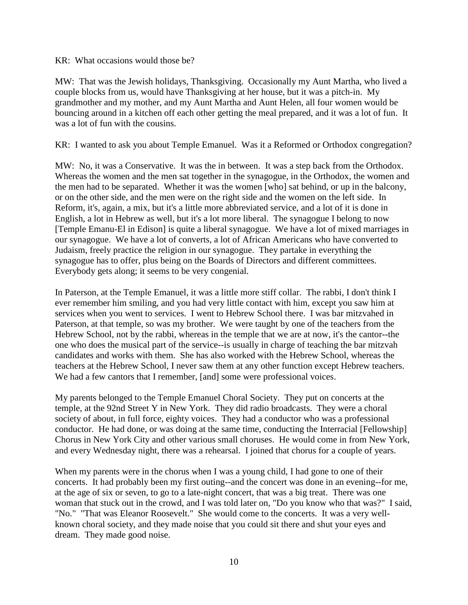#### KR: What occasions would those be?

MW: That was the Jewish holidays, Thanksgiving. Occasionally my Aunt Martha, who lived a couple blocks from us, would have Thanksgiving at her house, but it was a pitch-in. My grandmother and my mother, and my Aunt Martha and Aunt Helen, all four women would be bouncing around in a kitchen off each other getting the meal prepared, and it was a lot of fun. It was a lot of fun with the cousins.

KR: I wanted to ask you about Temple Emanuel. Was it a Reformed or Orthodox congregation?

MW: No, it was a Conservative. It was the in between. It was a step back from the Orthodox. Whereas the women and the men sat together in the synagogue, in the Orthodox, the women and the men had to be separated. Whether it was the women [who] sat behind, or up in the balcony, or on the other side, and the men were on the right side and the women on the left side. In Reform, it's, again, a mix, but it's a little more abbreviated service, and a lot of it is done in English, a lot in Hebrew as well, but it's a lot more liberal. The synagogue I belong to now [Temple Emanu-El in Edison] is quite a liberal synagogue. We have a lot of mixed marriages in our synagogue. We have a lot of converts, a lot of African Americans who have converted to Judaism, freely practice the religion in our synagogue. They partake in everything the synagogue has to offer, plus being on the Boards of Directors and different committees. Everybody gets along; it seems to be very congenial.

In Paterson, at the Temple Emanuel, it was a little more stiff collar. The rabbi, I don't think I ever remember him smiling, and you had very little contact with him, except you saw him at services when you went to services. I went to Hebrew School there. I was bar mitzvahed in Paterson, at that temple, so was my brother. We were taught by one of the teachers from the Hebrew School, not by the rabbi, whereas in the temple that we are at now, it's the cantor--the one who does the musical part of the service--is usually in charge of teaching the bar mitzvah candidates and works with them. She has also worked with the Hebrew School, whereas the teachers at the Hebrew School, I never saw them at any other function except Hebrew teachers. We had a few cantors that I remember, [and] some were professional voices.

My parents belonged to the Temple Emanuel Choral Society. They put on concerts at the temple, at the 92nd Street Y in New York. They did radio broadcasts. They were a choral society of about, in full force, eighty voices. They had a conductor who was a professional conductor. He had done, or was doing at the same time, conducting the Interracial [Fellowship] Chorus in New York City and other various small choruses. He would come in from New York, and every Wednesday night, there was a rehearsal. I joined that chorus for a couple of years.

When my parents were in the chorus when I was a young child, I had gone to one of their concerts. It had probably been my first outing--and the concert was done in an evening--for me, at the age of six or seven, to go to a late-night concert, that was a big treat. There was one woman that stuck out in the crowd, and I was told later on, "Do you know who that was?" I said, "No." "That was Eleanor Roosevelt." She would come to the concerts. It was a very wellknown choral society, and they made noise that you could sit there and shut your eyes and dream. They made good noise.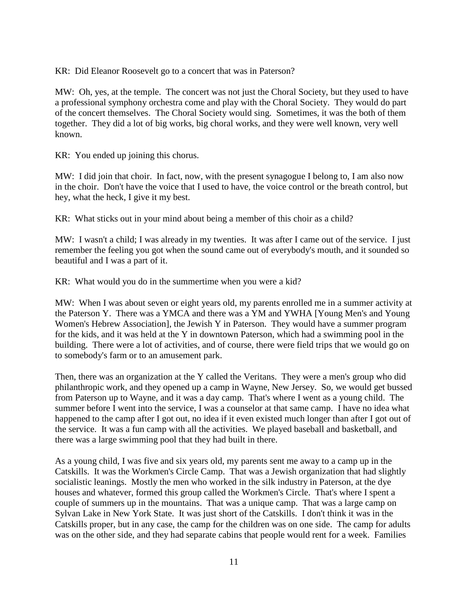KR: Did Eleanor Roosevelt go to a concert that was in Paterson?

MW: Oh, yes, at the temple. The concert was not just the Choral Society, but they used to have a professional symphony orchestra come and play with the Choral Society. They would do part of the concert themselves. The Choral Society would sing. Sometimes, it was the both of them together. They did a lot of big works, big choral works, and they were well known, very well known.

KR: You ended up joining this chorus.

MW: I did join that choir. In fact, now, with the present synagogue I belong to, I am also now in the choir. Don't have the voice that I used to have, the voice control or the breath control, but hey, what the heck, I give it my best.

KR: What sticks out in your mind about being a member of this choir as a child?

MW: I wasn't a child; I was already in my twenties. It was after I came out of the service. I just remember the feeling you got when the sound came out of everybody's mouth, and it sounded so beautiful and I was a part of it.

KR: What would you do in the summertime when you were a kid?

MW: When I was about seven or eight years old, my parents enrolled me in a summer activity at the Paterson Y. There was a YMCA and there was a YM and YWHA [Young Men's and Young Women's Hebrew Association], the Jewish Y in Paterson. They would have a summer program for the kids, and it was held at the Y in downtown Paterson, which had a swimming pool in the building. There were a lot of activities, and of course, there were field trips that we would go on to somebody's farm or to an amusement park.

Then, there was an organization at the Y called the Veritans. They were a men's group who did philanthropic work, and they opened up a camp in Wayne, New Jersey. So, we would get bussed from Paterson up to Wayne, and it was a day camp. That's where I went as a young child. The summer before I went into the service, I was a counselor at that same camp. I have no idea what happened to the camp after I got out, no idea if it even existed much longer than after I got out of the service. It was a fun camp with all the activities. We played baseball and basketball, and there was a large swimming pool that they had built in there.

As a young child, I was five and six years old, my parents sent me away to a camp up in the Catskills. It was the Workmen's Circle Camp. That was a Jewish organization that had slightly socialistic leanings. Mostly the men who worked in the silk industry in Paterson, at the dye houses and whatever, formed this group called the Workmen's Circle. That's where I spent a couple of summers up in the mountains. That was a unique camp. That was a large camp on Sylvan Lake in New York State. It was just short of the Catskills. I don't think it was in the Catskills proper, but in any case, the camp for the children was on one side. The camp for adults was on the other side, and they had separate cabins that people would rent for a week. Families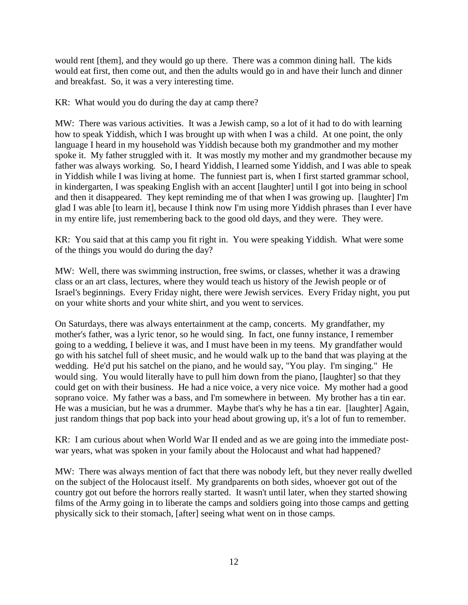would rent [them], and they would go up there. There was a common dining hall. The kids would eat first, then come out, and then the adults would go in and have their lunch and dinner and breakfast. So, it was a very interesting time.

KR: What would you do during the day at camp there?

MW: There was various activities. It was a Jewish camp, so a lot of it had to do with learning how to speak Yiddish, which I was brought up with when I was a child. At one point, the only language I heard in my household was Yiddish because both my grandmother and my mother spoke it. My father struggled with it. It was mostly my mother and my grandmother because my father was always working. So, I heard Yiddish, I learned some Yiddish, and I was able to speak in Yiddish while I was living at home. The funniest part is, when I first started grammar school, in kindergarten, I was speaking English with an accent [laughter] until I got into being in school and then it disappeared. They kept reminding me of that when I was growing up. [laughter] I'm glad I was able [to learn it], because I think now I'm using more Yiddish phrases than I ever have in my entire life, just remembering back to the good old days, and they were. They were.

KR: You said that at this camp you fit right in. You were speaking Yiddish. What were some of the things you would do during the day?

MW: Well, there was swimming instruction, free swims, or classes, whether it was a drawing class or an art class, lectures, where they would teach us history of the Jewish people or of Israel's beginnings. Every Friday night, there were Jewish services. Every Friday night, you put on your white shorts and your white shirt, and you went to services.

On Saturdays, there was always entertainment at the camp, concerts. My grandfather, my mother's father, was a lyric tenor, so he would sing. In fact, one funny instance, I remember going to a wedding, I believe it was, and I must have been in my teens. My grandfather would go with his satchel full of sheet music, and he would walk up to the band that was playing at the wedding. He'd put his satchel on the piano, and he would say, "You play. I'm singing." He would sing. You would literally have to pull him down from the piano, [laughter] so that they could get on with their business. He had a nice voice, a very nice voice. My mother had a good soprano voice. My father was a bass, and I'm somewhere in between. My brother has a tin ear. He was a musician, but he was a drummer. Maybe that's why he has a tin ear. [laughter] Again, just random things that pop back into your head about growing up, it's a lot of fun to remember.

KR: I am curious about when World War II ended and as we are going into the immediate postwar years, what was spoken in your family about the Holocaust and what had happened?

MW: There was always mention of fact that there was nobody left, but they never really dwelled on the subject of the Holocaust itself. My grandparents on both sides, whoever got out of the country got out before the horrors really started. It wasn't until later, when they started showing films of the Army going in to liberate the camps and soldiers going into those camps and getting physically sick to their stomach, [after] seeing what went on in those camps.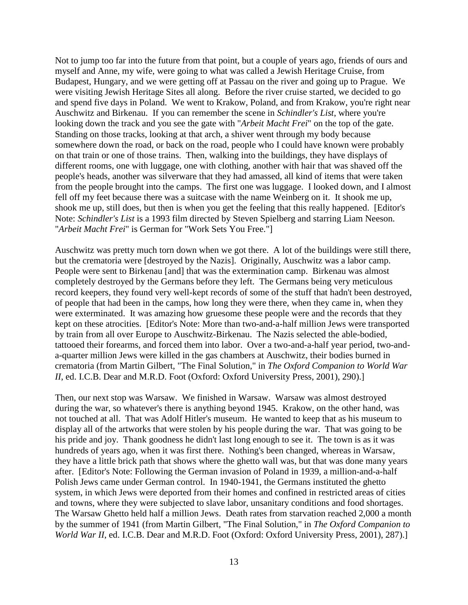Not to jump too far into the future from that point, but a couple of years ago, friends of ours and myself and Anne, my wife, were going to what was called a Jewish Heritage Cruise, from Budapest, Hungary, and we were getting off at Passau on the river and going up to Prague. We were visiting Jewish Heritage Sites all along. Before the river cruise started, we decided to go and spend five days in Poland. We went to Krakow, Poland, and from Krakow, you're right near Auschwitz and Birkenau. If you can remember the scene in *Schindler's List*, where you're looking down the track and you see the gate with "*Arbeit Macht Frei*" on the top of the gate. Standing on those tracks, looking at that arch, a shiver went through my body because somewhere down the road, or back on the road, people who I could have known were probably on that train or one of those trains. Then, walking into the buildings, they have displays of different rooms, one with luggage, one with clothing, another with hair that was shaved off the people's heads, another was silverware that they had amassed, all kind of items that were taken from the people brought into the camps. The first one was luggage. I looked down, and I almost fell off my feet because there was a suitcase with the name Weinberg on it. It shook me up, shook me up, still does, but then is when you get the feeling that this really happened. [Editor's Note: *Schindler's List* is a 1993 film directed by Steven Spielberg and starring Liam Neeson. "*Arbeit Macht Frei*" is German for "Work Sets You Free."]

Auschwitz was pretty much torn down when we got there. A lot of the buildings were still there, but the crematoria were [destroyed by the Nazis]. Originally, Auschwitz was a labor camp. People were sent to Birkenau [and] that was the extermination camp. Birkenau was almost completely destroyed by the Germans before they left. The Germans being very meticulous record keepers, they found very well-kept records of some of the stuff that hadn't been destroyed, of people that had been in the camps, how long they were there, when they came in, when they were exterminated. It was amazing how gruesome these people were and the records that they kept on these atrocities. [Editor's Note: More than two-and-a-half million Jews were transported by train from all over Europe to Auschwitz-Birkenau. The Nazis selected the able-bodied, tattooed their forearms, and forced them into labor. Over a two-and-a-half year period, two-anda-quarter million Jews were killed in the gas chambers at Auschwitz, their bodies burned in crematoria (from Martin Gilbert, "The Final Solution," in *The Oxford Companion to World War II*, ed. I.C.B. Dear and M.R.D. Foot (Oxford: Oxford University Press, 2001), 290).]

Then, our next stop was Warsaw. We finished in Warsaw. Warsaw was almost destroyed during the war, so whatever's there is anything beyond 1945. Krakow, on the other hand, was not touched at all. That was Adolf Hitler's museum. He wanted to keep that as his museum to display all of the artworks that were stolen by his people during the war. That was going to be his pride and joy. Thank goodness he didn't last long enough to see it. The town is as it was hundreds of years ago, when it was first there. Nothing's been changed, whereas in Warsaw, they have a little brick path that shows where the ghetto wall was, but that was done many years after. [Editor's Note: Following the German invasion of Poland in 1939, a million-and-a-half Polish Jews came under German control. In 1940-1941, the Germans instituted the ghetto system, in which Jews were deported from their homes and confined in restricted areas of cities and towns, where they were subjected to slave labor, unsanitary conditions and food shortages. The Warsaw Ghetto held half a million Jews. Death rates from starvation reached 2,000 a month by the summer of 1941 (from Martin Gilbert, "The Final Solution," in *The Oxford Companion to World War II*, ed. I.C.B. Dear and M.R.D. Foot (Oxford: Oxford University Press, 2001), 287).]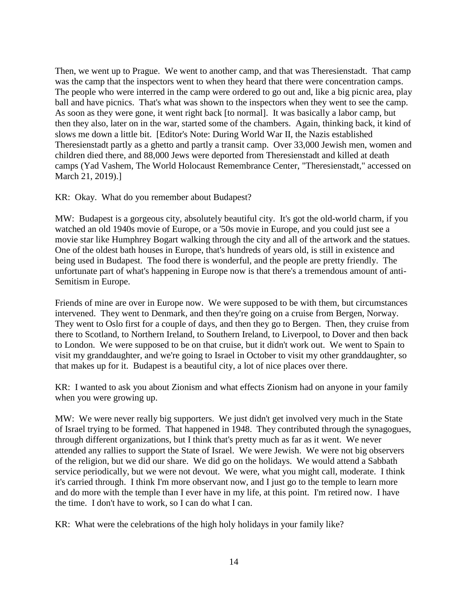Then, we went up to Prague. We went to another camp, and that was Theresienstadt. That camp was the camp that the inspectors went to when they heard that there were concentration camps. The people who were interred in the camp were ordered to go out and, like a big picnic area, play ball and have picnics. That's what was shown to the inspectors when they went to see the camp. As soon as they were gone, it went right back [to normal]. It was basically a labor camp, but then they also, later on in the war, started some of the chambers. Again, thinking back, it kind of slows me down a little bit. [Editor's Note: During World War II, the Nazis established Theresienstadt partly as a ghetto and partly a transit camp. Over 33,000 Jewish men, women and children died there, and 88,000 Jews were deported from Theresienstadt and killed at death camps (Yad Vashem, The World Holocaust Remembrance Center, "Theresienstadt," accessed on March 21, 2019).]

KR: Okay. What do you remember about Budapest?

MW: Budapest is a gorgeous city, absolutely beautiful city. It's got the old-world charm, if you watched an old 1940s movie of Europe, or a '50s movie in Europe, and you could just see a movie star like Humphrey Bogart walking through the city and all of the artwork and the statues. One of the oldest bath houses in Europe, that's hundreds of years old, is still in existence and being used in Budapest. The food there is wonderful, and the people are pretty friendly. The unfortunate part of what's happening in Europe now is that there's a tremendous amount of anti-Semitism in Europe.

Friends of mine are over in Europe now. We were supposed to be with them, but circumstances intervened. They went to Denmark, and then they're going on a cruise from Bergen, Norway. They went to Oslo first for a couple of days, and then they go to Bergen. Then, they cruise from there to Scotland, to Northern Ireland, to Southern Ireland, to Liverpool, to Dover and then back to London. We were supposed to be on that cruise, but it didn't work out. We went to Spain to visit my granddaughter, and we're going to Israel in October to visit my other granddaughter, so that makes up for it. Budapest is a beautiful city, a lot of nice places over there.

KR: I wanted to ask you about Zionism and what effects Zionism had on anyone in your family when you were growing up.

MW: We were never really big supporters. We just didn't get involved very much in the State of Israel trying to be formed. That happened in 1948. They contributed through the synagogues, through different organizations, but I think that's pretty much as far as it went. We never attended any rallies to support the State of Israel. We were Jewish. We were not big observers of the religion, but we did our share. We did go on the holidays. We would attend a Sabbath service periodically, but we were not devout. We were, what you might call, moderate. I think it's carried through. I think I'm more observant now, and I just go to the temple to learn more and do more with the temple than I ever have in my life, at this point. I'm retired now. I have the time. I don't have to work, so I can do what I can.

KR: What were the celebrations of the high holy holidays in your family like?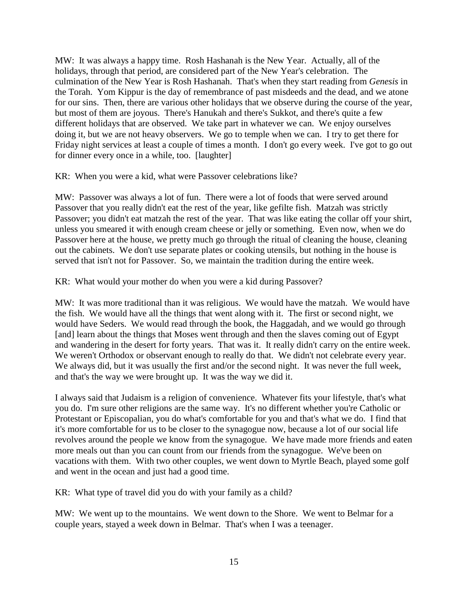MW: It was always a happy time. Rosh Hashanah is the New Year. Actually, all of the holidays, through that period, are considered part of the New Year's celebration. The culmination of the New Year is Rosh Hashanah. That's when they start reading from *Genesis* in the Torah. Yom Kippur is the day of remembrance of past misdeeds and the dead, and we atone for our sins. Then, there are various other holidays that we observe during the course of the year, but most of them are joyous. There's Hanukah and there's Sukkot, and there's quite a few different holidays that are observed. We take part in whatever we can. We enjoy ourselves doing it, but we are not heavy observers. We go to temple when we can. I try to get there for Friday night services at least a couple of times a month. I don't go every week. I've got to go out for dinner every once in a while, too. [laughter]

KR: When you were a kid, what were Passover celebrations like?

MW: Passover was always a lot of fun. There were a lot of foods that were served around Passover that you really didn't eat the rest of the year, like gefilte fish. Matzah was strictly Passover; you didn't eat matzah the rest of the year. That was like eating the collar off your shirt, unless you smeared it with enough cream cheese or jelly or something. Even now, when we do Passover here at the house, we pretty much go through the ritual of cleaning the house, cleaning out the cabinets. We don't use separate plates or cooking utensils, but nothing in the house is served that isn't not for Passover. So, we maintain the tradition during the entire week.

KR: What would your mother do when you were a kid during Passover?

MW: It was more traditional than it was religious. We would have the matzah. We would have the fish. We would have all the things that went along with it. The first or second night, we would have Seders. We would read through the book, the Haggadah, and we would go through [and] learn about the things that Moses went through and then the slaves coming out of Egypt and wandering in the desert for forty years. That was it. It really didn't carry on the entire week. We weren't Orthodox or observant enough to really do that. We didn't not celebrate every year. We always did, but it was usually the first and/or the second night. It was never the full week, and that's the way we were brought up. It was the way we did it.

I always said that Judaism is a religion of convenience. Whatever fits your lifestyle, that's what you do. I'm sure other religions are the same way. It's no different whether you're Catholic or Protestant or Episcopalian, you do what's comfortable for you and that's what we do. I find that it's more comfortable for us to be closer to the synagogue now, because a lot of our social life revolves around the people we know from the synagogue. We have made more friends and eaten more meals out than you can count from our friends from the synagogue. We've been on vacations with them. With two other couples, we went down to Myrtle Beach, played some golf and went in the ocean and just had a good time.

KR: What type of travel did you do with your family as a child?

MW: We went up to the mountains. We went down to the Shore. We went to Belmar for a couple years, stayed a week down in Belmar. That's when I was a teenager.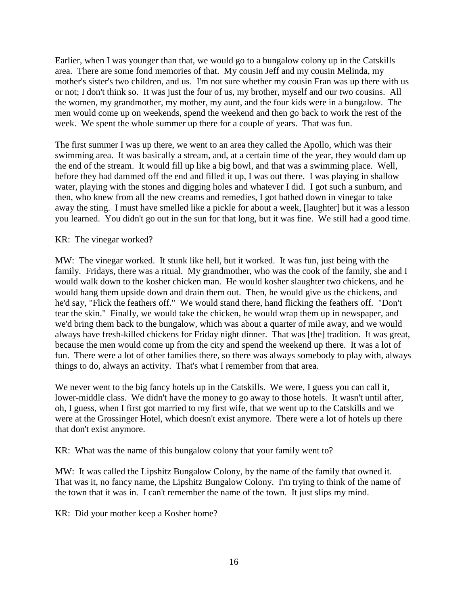Earlier, when I was younger than that, we would go to a bungalow colony up in the Catskills area. There are some fond memories of that. My cousin Jeff and my cousin Melinda, my mother's sister's two children, and us. I'm not sure whether my cousin Fran was up there with us or not; I don't think so. It was just the four of us, my brother, myself and our two cousins. All the women, my grandmother, my mother, my aunt, and the four kids were in a bungalow. The men would come up on weekends, spend the weekend and then go back to work the rest of the week. We spent the whole summer up there for a couple of years. That was fun.

The first summer I was up there, we went to an area they called the Apollo, which was their swimming area. It was basically a stream, and, at a certain time of the year, they would dam up the end of the stream. It would fill up like a big bowl, and that was a swimming place. Well, before they had dammed off the end and filled it up, I was out there. I was playing in shallow water, playing with the stones and digging holes and whatever I did. I got such a sunburn, and then, who knew from all the new creams and remedies, I got bathed down in vinegar to take away the sting. I must have smelled like a pickle for about a week, [laughter] but it was a lesson you learned. You didn't go out in the sun for that long, but it was fine. We still had a good time.

## KR: The vinegar worked?

MW: The vinegar worked. It stunk like hell, but it worked. It was fun, just being with the family. Fridays, there was a ritual. My grandmother, who was the cook of the family, she and I would walk down to the kosher chicken man. He would kosher slaughter two chickens, and he would hang them upside down and drain them out. Then, he would give us the chickens, and he'd say, "Flick the feathers off." We would stand there, hand flicking the feathers off. "Don't tear the skin." Finally, we would take the chicken, he would wrap them up in newspaper, and we'd bring them back to the bungalow, which was about a quarter of mile away, and we would always have fresh-killed chickens for Friday night dinner. That was [the] tradition. It was great, because the men would come up from the city and spend the weekend up there. It was a lot of fun. There were a lot of other families there, so there was always somebody to play with, always things to do, always an activity. That's what I remember from that area.

We never went to the big fancy hotels up in the Catskills. We were, I guess you can call it, lower-middle class. We didn't have the money to go away to those hotels. It wasn't until after, oh, I guess, when I first got married to my first wife, that we went up to the Catskills and we were at the Grossinger Hotel, which doesn't exist anymore. There were a lot of hotels up there that don't exist anymore.

KR: What was the name of this bungalow colony that your family went to?

MW: It was called the Lipshitz Bungalow Colony, by the name of the family that owned it. That was it, no fancy name, the Lipshitz Bungalow Colony. I'm trying to think of the name of the town that it was in. I can't remember the name of the town. It just slips my mind.

KR: Did your mother keep a Kosher home?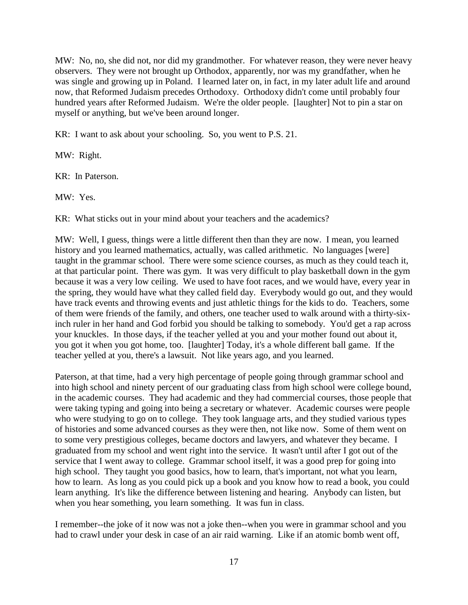MW: No, no, she did not, nor did my grandmother. For whatever reason, they were never heavy observers. They were not brought up Orthodox, apparently, nor was my grandfather, when he was single and growing up in Poland. I learned later on, in fact, in my later adult life and around now, that Reformed Judaism precedes Orthodoxy. Orthodoxy didn't come until probably four hundred years after Reformed Judaism. We're the older people. [laughter] Not to pin a star on myself or anything, but we've been around longer.

KR: I want to ask about your schooling. So, you went to P.S. 21.

MW: Right.

KR: In Paterson.

MW: Yes.

KR: What sticks out in your mind about your teachers and the academics?

MW: Well, I guess, things were a little different then than they are now. I mean, you learned history and you learned mathematics, actually, was called arithmetic. No languages [were] taught in the grammar school. There were some science courses, as much as they could teach it, at that particular point. There was gym. It was very difficult to play basketball down in the gym because it was a very low ceiling. We used to have foot races, and we would have, every year in the spring, they would have what they called field day. Everybody would go out, and they would have track events and throwing events and just athletic things for the kids to do. Teachers, some of them were friends of the family, and others, one teacher used to walk around with a thirty-sixinch ruler in her hand and God forbid you should be talking to somebody. You'd get a rap across your knuckles. In those days, if the teacher yelled at you and your mother found out about it, you got it when you got home, too. [laughter] Today, it's a whole different ball game. If the teacher yelled at you, there's a lawsuit. Not like years ago, and you learned.

Paterson, at that time, had a very high percentage of people going through grammar school and into high school and ninety percent of our graduating class from high school were college bound, in the academic courses. They had academic and they had commercial courses, those people that were taking typing and going into being a secretary or whatever. Academic courses were people who were studying to go on to college. They took language arts, and they studied various types of histories and some advanced courses as they were then, not like now. Some of them went on to some very prestigious colleges, became doctors and lawyers, and whatever they became. I graduated from my school and went right into the service. It wasn't until after I got out of the service that I went away to college. Grammar school itself, it was a good prep for going into high school. They taught you good basics, how to learn, that's important, not what you learn, how to learn. As long as you could pick up a book and you know how to read a book, you could learn anything. It's like the difference between listening and hearing. Anybody can listen, but when you hear something, you learn something. It was fun in class.

I remember--the joke of it now was not a joke then--when you were in grammar school and you had to crawl under your desk in case of an air raid warning. Like if an atomic bomb went off,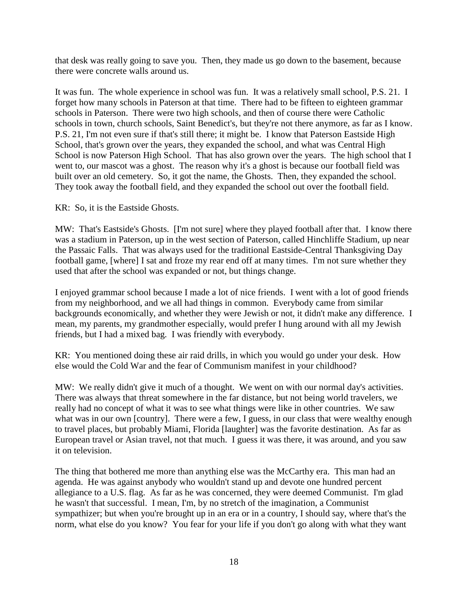that desk was really going to save you. Then, they made us go down to the basement, because there were concrete walls around us.

It was fun. The whole experience in school was fun. It was a relatively small school, P.S. 21. I forget how many schools in Paterson at that time. There had to be fifteen to eighteen grammar schools in Paterson. There were two high schools, and then of course there were Catholic schools in town, church schools, Saint Benedict's, but they're not there anymore, as far as I know. P.S. 21, I'm not even sure if that's still there; it might be. I know that Paterson Eastside High School, that's grown over the years, they expanded the school, and what was Central High School is now Paterson High School. That has also grown over the years. The high school that I went to, our mascot was a ghost. The reason why it's a ghost is because our football field was built over an old cemetery. So, it got the name, the Ghosts. Then, they expanded the school. They took away the football field, and they expanded the school out over the football field.

KR: So, it is the Eastside Ghosts.

MW: That's Eastside's Ghosts. [I'm not sure] where they played football after that. I know there was a stadium in Paterson, up in the west section of Paterson, called Hinchliffe Stadium, up near the Passaic Falls. That was always used for the traditional Eastside-Central Thanksgiving Day football game, [where] I sat and froze my rear end off at many times. I'm not sure whether they used that after the school was expanded or not, but things change.

I enjoyed grammar school because I made a lot of nice friends. I went with a lot of good friends from my neighborhood, and we all had things in common. Everybody came from similar backgrounds economically, and whether they were Jewish or not, it didn't make any difference. I mean, my parents, my grandmother especially, would prefer I hung around with all my Jewish friends, but I had a mixed bag. I was friendly with everybody.

KR: You mentioned doing these air raid drills, in which you would go under your desk. How else would the Cold War and the fear of Communism manifest in your childhood?

MW: We really didn't give it much of a thought. We went on with our normal day's activities. There was always that threat somewhere in the far distance, but not being world travelers, we really had no concept of what it was to see what things were like in other countries. We saw what was in our own [country]. There were a few, I guess, in our class that were wealthy enough to travel places, but probably Miami, Florida [laughter] was the favorite destination. As far as European travel or Asian travel, not that much. I guess it was there, it was around, and you saw it on television.

The thing that bothered me more than anything else was the McCarthy era. This man had an agenda. He was against anybody who wouldn't stand up and devote one hundred percent allegiance to a U.S. flag. As far as he was concerned, they were deemed Communist. I'm glad he wasn't that successful. I mean, I'm, by no stretch of the imagination, a Communist sympathizer; but when you're brought up in an era or in a country, I should say, where that's the norm, what else do you know? You fear for your life if you don't go along with what they want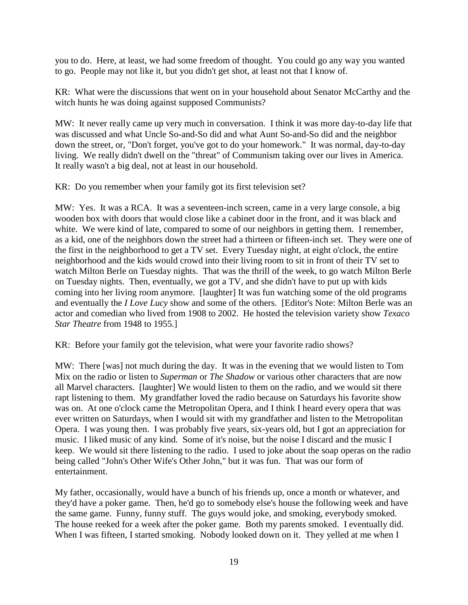you to do. Here, at least, we had some freedom of thought. You could go any way you wanted to go. People may not like it, but you didn't get shot, at least not that I know of.

KR: What were the discussions that went on in your household about Senator McCarthy and the witch hunts he was doing against supposed Communists?

MW: It never really came up very much in conversation. I think it was more day-to-day life that was discussed and what Uncle So-and-So did and what Aunt So-and-So did and the neighbor down the street, or, "Don't forget, you've got to do your homework." It was normal, day-to-day living. We really didn't dwell on the "threat" of Communism taking over our lives in America. It really wasn't a big deal, not at least in our household.

KR: Do you remember when your family got its first television set?

MW: Yes. It was a RCA. It was a seventeen-inch screen, came in a very large console, a big wooden box with doors that would close like a cabinet door in the front, and it was black and white. We were kind of late, compared to some of our neighbors in getting them. I remember, as a kid, one of the neighbors down the street had a thirteen or fifteen-inch set. They were one of the first in the neighborhood to get a TV set. Every Tuesday night, at eight o'clock, the entire neighborhood and the kids would crowd into their living room to sit in front of their TV set to watch Milton Berle on Tuesday nights. That was the thrill of the week, to go watch Milton Berle on Tuesday nights. Then, eventually, we got a TV, and she didn't have to put up with kids coming into her living room anymore. [laughter] It was fun watching some of the old programs and eventually the *I Love Lucy* show and some of the others. [Editor's Note: Milton Berle was an actor and comedian who lived from 1908 to 2002. He hosted the television variety show *Texaco Star Theatre* from 1948 to 1955.]

KR: Before your family got the television, what were your favorite radio shows?

MW: There [was] not much during the day. It was in the evening that we would listen to Tom Mix on the radio or listen to *Superman* or *The Shadow* or various other characters that are now all Marvel characters. [laughter] We would listen to them on the radio, and we would sit there rapt listening to them. My grandfather loved the radio because on Saturdays his favorite show was on. At one o'clock came the Metropolitan Opera, and I think I heard every opera that was ever written on Saturdays, when I would sit with my grandfather and listen to the Metropolitan Opera. I was young then. I was probably five years, six-years old, but I got an appreciation for music. I liked music of any kind. Some of it's noise, but the noise I discard and the music I keep. We would sit there listening to the radio. I used to joke about the soap operas on the radio being called "John's Other Wife's Other John," but it was fun. That was our form of entertainment.

My father, occasionally, would have a bunch of his friends up, once a month or whatever, and they'd have a poker game. Then, he'd go to somebody else's house the following week and have the same game. Funny, funny stuff. The guys would joke, and smoking, everybody smoked. The house reeked for a week after the poker game. Both my parents smoked. I eventually did. When I was fifteen, I started smoking. Nobody looked down on it. They yelled at me when I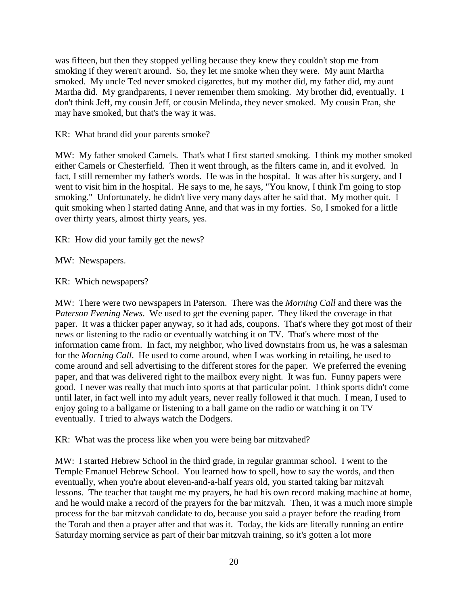was fifteen, but then they stopped yelling because they knew they couldn't stop me from smoking if they weren't around. So, they let me smoke when they were. My aunt Martha smoked. My uncle Ted never smoked cigarettes, but my mother did, my father did, my aunt Martha did. My grandparents, I never remember them smoking. My brother did, eventually. I don't think Jeff, my cousin Jeff, or cousin Melinda, they never smoked. My cousin Fran, she may have smoked, but that's the way it was.

KR: What brand did your parents smoke?

MW: My father smoked Camels. That's what I first started smoking. I think my mother smoked either Camels or Chesterfield. Then it went through, as the filters came in, and it evolved. In fact, I still remember my father's words. He was in the hospital. It was after his surgery, and I went to visit him in the hospital. He says to me, he says, "You know, I think I'm going to stop smoking." Unfortunately, he didn't live very many days after he said that. My mother quit. I quit smoking when I started dating Anne, and that was in my forties. So, I smoked for a little over thirty years, almost thirty years, yes.

KR: How did your family get the news?

MW: Newspapers.

KR: Which newspapers?

MW: There were two newspapers in Paterson. There was the *Morning Call* and there was the *Paterson Evening News*. We used to get the evening paper. They liked the coverage in that paper. It was a thicker paper anyway, so it had ads, coupons. That's where they got most of their news or listening to the radio or eventually watching it on TV. That's where most of the information came from. In fact, my neighbor, who lived downstairs from us, he was a salesman for the *Morning Call*. He used to come around, when I was working in retailing, he used to come around and sell advertising to the different stores for the paper. We preferred the evening paper, and that was delivered right to the mailbox every night. It was fun. Funny papers were good. I never was really that much into sports at that particular point. I think sports didn't come until later, in fact well into my adult years, never really followed it that much. I mean, I used to enjoy going to a ballgame or listening to a ball game on the radio or watching it on TV eventually. I tried to always watch the Dodgers.

KR: What was the process like when you were being bar mitzvahed?

MW: I started Hebrew School in the third grade, in regular grammar school. I went to the Temple Emanuel Hebrew School. You learned how to spell, how to say the words, and then eventually, when you're about eleven-and-a-half years old, you started taking bar mitzvah lessons. The teacher that taught me my prayers, he had his own record making machine at home, and he would make a record of the prayers for the bar mitzvah. Then, it was a much more simple process for the bar mitzvah candidate to do, because you said a prayer before the reading from the Torah and then a prayer after and that was it. Today, the kids are literally running an entire Saturday morning service as part of their bar mitzvah training, so it's gotten a lot more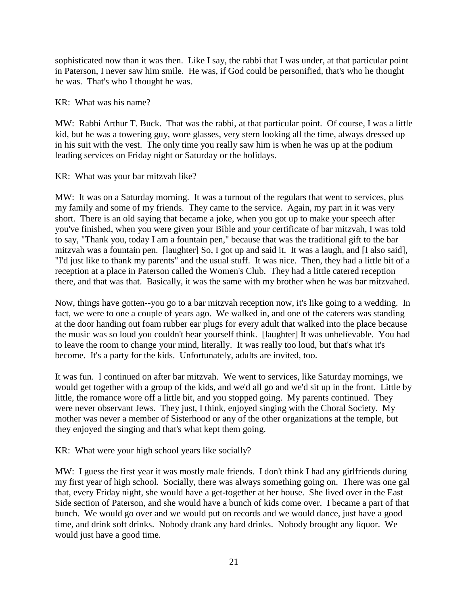sophisticated now than it was then. Like I say, the rabbi that I was under, at that particular point in Paterson, I never saw him smile. He was, if God could be personified, that's who he thought he was. That's who I thought he was.

## KR: What was his name?

MW: Rabbi Arthur T. Buck. That was the rabbi, at that particular point. Of course, I was a little kid, but he was a towering guy, wore glasses, very stern looking all the time, always dressed up in his suit with the vest. The only time you really saw him is when he was up at the podium leading services on Friday night or Saturday or the holidays.

## KR: What was your bar mitzvah like?

MW: It was on a Saturday morning. It was a turnout of the regulars that went to services, plus my family and some of my friends. They came to the service. Again, my part in it was very short. There is an old saying that became a joke, when you got up to make your speech after you've finished, when you were given your Bible and your certificate of bar mitzvah, I was told to say, "Thank you, today I am a fountain pen," because that was the traditional gift to the bar mitzvah was a fountain pen. [laughter] So, I got up and said it. It was a laugh, and [I also said], "I'd just like to thank my parents" and the usual stuff. It was nice. Then, they had a little bit of a reception at a place in Paterson called the Women's Club. They had a little catered reception there, and that was that. Basically, it was the same with my brother when he was bar mitzvahed.

Now, things have gotten--you go to a bar mitzvah reception now, it's like going to a wedding. In fact, we were to one a couple of years ago. We walked in, and one of the caterers was standing at the door handing out foam rubber ear plugs for every adult that walked into the place because the music was so loud you couldn't hear yourself think. [laughter] It was unbelievable. You had to leave the room to change your mind, literally. It was really too loud, but that's what it's become. It's a party for the kids. Unfortunately, adults are invited, too.

It was fun. I continued on after bar mitzvah. We went to services, like Saturday mornings, we would get together with a group of the kids, and we'd all go and we'd sit up in the front. Little by little, the romance wore off a little bit, and you stopped going. My parents continued. They were never observant Jews. They just, I think, enjoyed singing with the Choral Society. My mother was never a member of Sisterhood or any of the other organizations at the temple, but they enjoyed the singing and that's what kept them going.

KR: What were your high school years like socially?

MW: I guess the first year it was mostly male friends. I don't think I had any girlfriends during my first year of high school. Socially, there was always something going on. There was one gal that, every Friday night, she would have a get-together at her house. She lived over in the East Side section of Paterson, and she would have a bunch of kids come over. I became a part of that bunch. We would go over and we would put on records and we would dance, just have a good time, and drink soft drinks. Nobody drank any hard drinks. Nobody brought any liquor. We would just have a good time.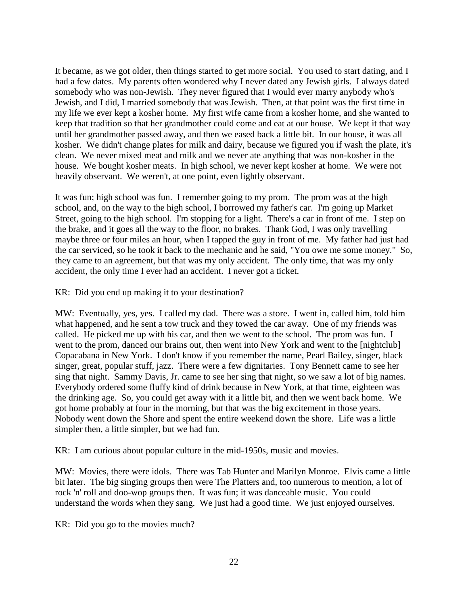It became, as we got older, then things started to get more social. You used to start dating, and I had a few dates. My parents often wondered why I never dated any Jewish girls. I always dated somebody who was non-Jewish. They never figured that I would ever marry anybody who's Jewish, and I did, I married somebody that was Jewish. Then, at that point was the first time in my life we ever kept a kosher home. My first wife came from a kosher home, and she wanted to keep that tradition so that her grandmother could come and eat at our house. We kept it that way until her grandmother passed away, and then we eased back a little bit. In our house, it was all kosher. We didn't change plates for milk and dairy, because we figured you if wash the plate, it's clean. We never mixed meat and milk and we never ate anything that was non-kosher in the house. We bought kosher meats. In high school, we never kept kosher at home. We were not heavily observant. We weren't, at one point, even lightly observant.

It was fun; high school was fun. I remember going to my prom. The prom was at the high school, and, on the way to the high school, I borrowed my father's car. I'm going up Market Street, going to the high school. I'm stopping for a light. There's a car in front of me. I step on the brake, and it goes all the way to the floor, no brakes. Thank God, I was only travelling maybe three or four miles an hour, when I tapped the guy in front of me. My father had just had the car serviced, so he took it back to the mechanic and he said, "You owe me some money." So, they came to an agreement, but that was my only accident. The only time, that was my only accident, the only time I ever had an accident. I never got a ticket.

KR: Did you end up making it to your destination?

MW: Eventually, yes, yes. I called my dad. There was a store. I went in, called him, told him what happened, and he sent a tow truck and they towed the car away. One of my friends was called. He picked me up with his car, and then we went to the school. The prom was fun. I went to the prom, danced our brains out, then went into New York and went to the [nightclub] Copacabana in New York. I don't know if you remember the name, Pearl Bailey, singer, black singer, great, popular stuff, jazz. There were a few dignitaries. Tony Bennett came to see her sing that night. Sammy Davis, Jr. came to see her sing that night, so we saw a lot of big names. Everybody ordered some fluffy kind of drink because in New York, at that time, eighteen was the drinking age. So, you could get away with it a little bit, and then we went back home. We got home probably at four in the morning, but that was the big excitement in those years. Nobody went down the Shore and spent the entire weekend down the shore. Life was a little simpler then, a little simpler, but we had fun.

KR: I am curious about popular culture in the mid-1950s, music and movies.

MW: Movies, there were idols. There was Tab Hunter and Marilyn Monroe. Elvis came a little bit later. The big singing groups then were The Platters and, too numerous to mention, a lot of rock 'n' roll and doo-wop groups then. It was fun; it was danceable music. You could understand the words when they sang. We just had a good time. We just enjoyed ourselves.

KR: Did you go to the movies much?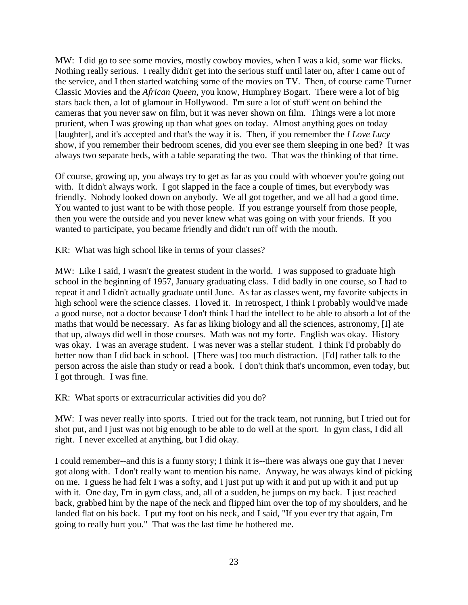MW: I did go to see some movies, mostly cowboy movies, when I was a kid, some war flicks. Nothing really serious. I really didn't get into the serious stuff until later on, after I came out of the service, and I then started watching some of the movies on TV. Then, of course came Turner Classic Movies and the *African Queen*, you know, Humphrey Bogart. There were a lot of big stars back then, a lot of glamour in Hollywood. I'm sure a lot of stuff went on behind the cameras that you never saw on film, but it was never shown on film. Things were a lot more prurient, when I was growing up than what goes on today. Almost anything goes on today [laughter], and it's accepted and that's the way it is. Then, if you remember the *I Love Lucy* show, if you remember their bedroom scenes, did you ever see them sleeping in one bed? It was always two separate beds, with a table separating the two. That was the thinking of that time.

Of course, growing up, you always try to get as far as you could with whoever you're going out with. It didn't always work. I got slapped in the face a couple of times, but everybody was friendly. Nobody looked down on anybody. We all got together, and we all had a good time. You wanted to just want to be with those people. If you estrange yourself from those people, then you were the outside and you never knew what was going on with your friends. If you wanted to participate, you became friendly and didn't run off with the mouth.

KR: What was high school like in terms of your classes?

MW: Like I said, I wasn't the greatest student in the world. I was supposed to graduate high school in the beginning of 1957, January graduating class. I did badly in one course, so I had to repeat it and I didn't actually graduate until June. As far as classes went, my favorite subjects in high school were the science classes. I loved it. In retrospect, I think I probably would've made a good nurse, not a doctor because I don't think I had the intellect to be able to absorb a lot of the maths that would be necessary. As far as liking biology and all the sciences, astronomy, [I] ate that up, always did well in those courses. Math was not my forte. English was okay. History was okay. I was an average student. I was never was a stellar student. I think I'd probably do better now than I did back in school. [There was] too much distraction. [I'd] rather talk to the person across the aisle than study or read a book. I don't think that's uncommon, even today, but I got through. I was fine.

KR: What sports or extracurricular activities did you do?

MW: I was never really into sports. I tried out for the track team, not running, but I tried out for shot put, and I just was not big enough to be able to do well at the sport. In gym class, I did all right. I never excelled at anything, but I did okay.

I could remember--and this is a funny story; I think it is--there was always one guy that I never got along with. I don't really want to mention his name. Anyway, he was always kind of picking on me. I guess he had felt I was a softy, and I just put up with it and put up with it and put up with it. One day, I'm in gym class, and, all of a sudden, he jumps on my back. I just reached back, grabbed him by the nape of the neck and flipped him over the top of my shoulders, and he landed flat on his back. I put my foot on his neck, and I said, "If you ever try that again, I'm going to really hurt you." That was the last time he bothered me.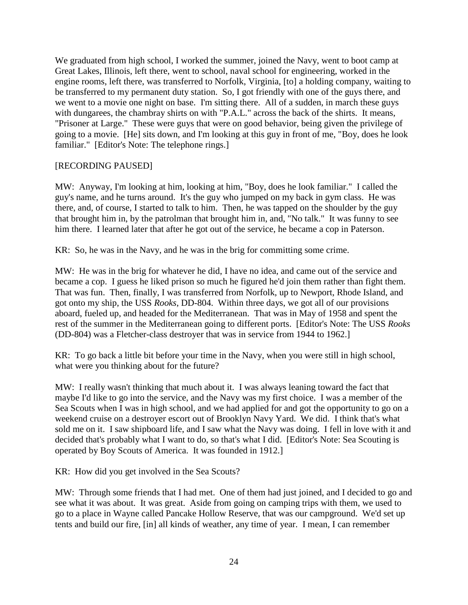We graduated from high school, I worked the summer, joined the Navy, went to boot camp at Great Lakes, Illinois, left there, went to school, naval school for engineering, worked in the engine rooms, left there, was transferred to Norfolk, Virginia, [to] a holding company, waiting to be transferred to my permanent duty station. So, I got friendly with one of the guys there, and we went to a movie one night on base. I'm sitting there. All of a sudden, in march these guys with dungarees, the chambray shirts on with "P.A.L." across the back of the shirts. It means, "Prisoner at Large." These were guys that were on good behavior, being given the privilege of going to a movie. [He] sits down, and I'm looking at this guy in front of me, "Boy, does he look familiar." [Editor's Note: The telephone rings.]

## [RECORDING PAUSED]

MW: Anyway, I'm looking at him, looking at him, "Boy, does he look familiar." I called the guy's name, and he turns around. It's the guy who jumped on my back in gym class. He was there, and, of course, I started to talk to him. Then, he was tapped on the shoulder by the guy that brought him in, by the patrolman that brought him in, and, "No talk." It was funny to see him there. I learned later that after he got out of the service, he became a cop in Paterson.

KR: So, he was in the Navy, and he was in the brig for committing some crime.

MW: He was in the brig for whatever he did, I have no idea, and came out of the service and became a cop. I guess he liked prison so much he figured he'd join them rather than fight them. That was fun. Then, finally, I was transferred from Norfolk, up to Newport, Rhode Island, and got onto my ship, the USS *Rooks*, DD-804. Within three days, we got all of our provisions aboard, fueled up, and headed for the Mediterranean. That was in May of 1958 and spent the rest of the summer in the Mediterranean going to different ports. [Editor's Note: The USS *Rooks* (DD-804) was a Fletcher-class destroyer that was in service from 1944 to 1962.]

KR: To go back a little bit before your time in the Navy, when you were still in high school, what were you thinking about for the future?

MW: I really wasn't thinking that much about it. I was always leaning toward the fact that maybe I'd like to go into the service, and the Navy was my first choice. I was a member of the Sea Scouts when I was in high school, and we had applied for and got the opportunity to go on a weekend cruise on a destroyer escort out of Brooklyn Navy Yard. We did. I think that's what sold me on it. I saw shipboard life, and I saw what the Navy was doing. I fell in love with it and decided that's probably what I want to do, so that's what I did. [Editor's Note: Sea Scouting is operated by Boy Scouts of America. It was founded in 1912.]

KR: How did you get involved in the Sea Scouts?

MW: Through some friends that I had met. One of them had just joined, and I decided to go and see what it was about. It was great. Aside from going on camping trips with them, we used to go to a place in Wayne called Pancake Hollow Reserve, that was our campground. We'd set up tents and build our fire, [in] all kinds of weather, any time of year. I mean, I can remember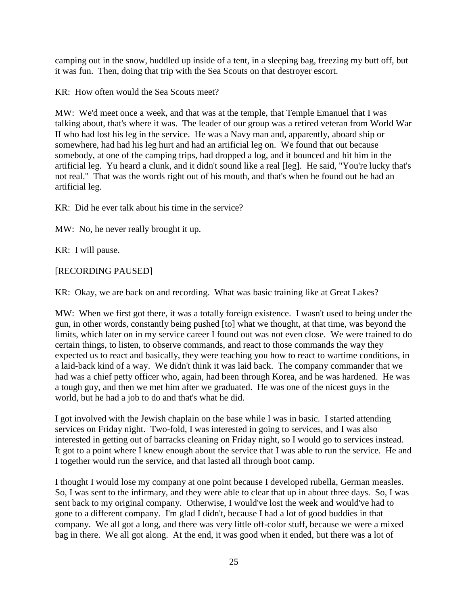camping out in the snow, huddled up inside of a tent, in a sleeping bag, freezing my butt off, but it was fun. Then, doing that trip with the Sea Scouts on that destroyer escort.

KR: How often would the Sea Scouts meet?

MW: We'd meet once a week, and that was at the temple, that Temple Emanuel that I was talking about, that's where it was. The leader of our group was a retired veteran from World War II who had lost his leg in the service. He was a Navy man and, apparently, aboard ship or somewhere, had had his leg hurt and had an artificial leg on. We found that out because somebody, at one of the camping trips, had dropped a log, and it bounced and hit him in the artificial leg. Yu heard a clunk, and it didn't sound like a real [leg]. He said, "You're lucky that's not real." That was the words right out of his mouth, and that's when he found out he had an artificial leg.

KR: Did he ever talk about his time in the service?

MW: No, he never really brought it up.

KR: I will pause.

## [RECORDING PAUSED]

KR: Okay, we are back on and recording. What was basic training like at Great Lakes?

MW: When we first got there, it was a totally foreign existence. I wasn't used to being under the gun, in other words, constantly being pushed [to] what we thought, at that time, was beyond the limits, which later on in my service career I found out was not even close. We were trained to do certain things, to listen, to observe commands, and react to those commands the way they expected us to react and basically, they were teaching you how to react to wartime conditions, in a laid-back kind of a way. We didn't think it was laid back. The company commander that we had was a chief petty officer who, again, had been through Korea, and he was hardened. He was a tough guy, and then we met him after we graduated. He was one of the nicest guys in the world, but he had a job to do and that's what he did.

I got involved with the Jewish chaplain on the base while I was in basic. I started attending services on Friday night. Two-fold, I was interested in going to services, and I was also interested in getting out of barracks cleaning on Friday night, so I would go to services instead. It got to a point where I knew enough about the service that I was able to run the service. He and I together would run the service, and that lasted all through boot camp.

I thought I would lose my company at one point because I developed rubella, German measles. So, I was sent to the infirmary, and they were able to clear that up in about three days. So, I was sent back to my original company. Otherwise, I would've lost the week and would've had to gone to a different company. I'm glad I didn't, because I had a lot of good buddies in that company. We all got a long, and there was very little off-color stuff, because we were a mixed bag in there. We all got along. At the end, it was good when it ended, but there was a lot of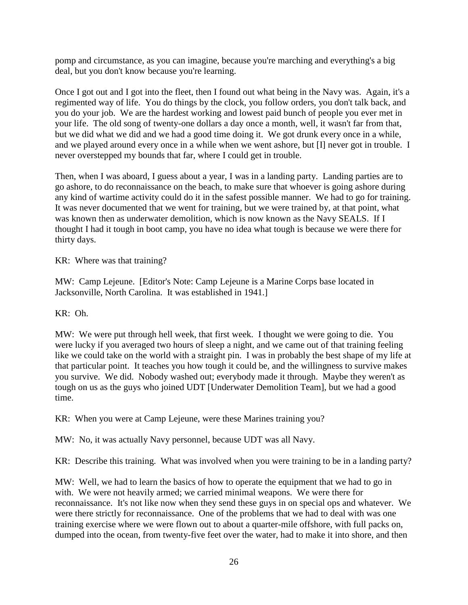pomp and circumstance, as you can imagine, because you're marching and everything's a big deal, but you don't know because you're learning.

Once I got out and I got into the fleet, then I found out what being in the Navy was. Again, it's a regimented way of life. You do things by the clock, you follow orders, you don't talk back, and you do your job. We are the hardest working and lowest paid bunch of people you ever met in your life. The old song of twenty-one dollars a day once a month, well, it wasn't far from that, but we did what we did and we had a good time doing it. We got drunk every once in a while, and we played around every once in a while when we went ashore, but [I] never got in trouble. I never overstepped my bounds that far, where I could get in trouble.

Then, when I was aboard, I guess about a year, I was in a landing party. Landing parties are to go ashore, to do reconnaissance on the beach, to make sure that whoever is going ashore during any kind of wartime activity could do it in the safest possible manner. We had to go for training. It was never documented that we went for training, but we were trained by, at that point, what was known then as underwater demolition, which is now known as the Navy SEALS. If I thought I had it tough in boot camp, you have no idea what tough is because we were there for thirty days.

KR: Where was that training?

MW: Camp Lejeune. [Editor's Note: Camp Lejeune is a Marine Corps base located in Jacksonville, North Carolina. It was established in 1941.]

## KR: Oh.

MW: We were put through hell week, that first week. I thought we were going to die. You were lucky if you averaged two hours of sleep a night, and we came out of that training feeling like we could take on the world with a straight pin. I was in probably the best shape of my life at that particular point. It teaches you how tough it could be, and the willingness to survive makes you survive. We did. Nobody washed out; everybody made it through. Maybe they weren't as tough on us as the guys who joined UDT [Underwater Demolition Team], but we had a good time.

KR: When you were at Camp Lejeune, were these Marines training you?

MW: No, it was actually Navy personnel, because UDT was all Navy.

KR: Describe this training. What was involved when you were training to be in a landing party?

MW: Well, we had to learn the basics of how to operate the equipment that we had to go in with. We were not heavily armed; we carried minimal weapons. We were there for reconnaissance. It's not like now when they send these guys in on special ops and whatever. We were there strictly for reconnaissance. One of the problems that we had to deal with was one training exercise where we were flown out to about a quarter-mile offshore, with full packs on, dumped into the ocean, from twenty-five feet over the water, had to make it into shore, and then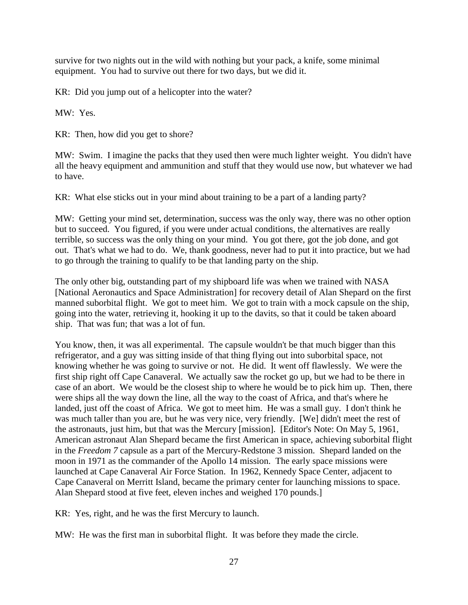survive for two nights out in the wild with nothing but your pack, a knife, some minimal equipment. You had to survive out there for two days, but we did it.

KR: Did you jump out of a helicopter into the water?

MW: Yes.

KR: Then, how did you get to shore?

MW: Swim. I imagine the packs that they used then were much lighter weight. You didn't have all the heavy equipment and ammunition and stuff that they would use now, but whatever we had to have.

KR: What else sticks out in your mind about training to be a part of a landing party?

MW: Getting your mind set, determination, success was the only way, there was no other option but to succeed. You figured, if you were under actual conditions, the alternatives are really terrible, so success was the only thing on your mind. You got there, got the job done, and got out. That's what we had to do. We, thank goodness, never had to put it into practice, but we had to go through the training to qualify to be that landing party on the ship.

The only other big, outstanding part of my shipboard life was when we trained with NASA [National Aeronautics and Space Administration] for recovery detail of Alan Shepard on the first manned suborbital flight. We got to meet him. We got to train with a mock capsule on the ship, going into the water, retrieving it, hooking it up to the davits, so that it could be taken aboard ship. That was fun; that was a lot of fun.

You know, then, it was all experimental. The capsule wouldn't be that much bigger than this refrigerator, and a guy was sitting inside of that thing flying out into suborbital space, not knowing whether he was going to survive or not. He did. It went off flawlessly. We were the first ship right off Cape Canaveral. We actually saw the rocket go up, but we had to be there in case of an abort. We would be the closest ship to where he would be to pick him up. Then, there were ships all the way down the line, all the way to the coast of Africa, and that's where he landed, just off the coast of Africa. We got to meet him. He was a small guy. I don't think he was much taller than you are, but he was very nice, very friendly. [We] didn't meet the rest of the astronauts, just him, but that was the Mercury [mission]. [Editor's Note: On May 5, 1961, American astronaut Alan Shepard became the first American in space, achieving suborbital flight in the *Freedom 7* capsule as a part of the Mercury-Redstone 3 mission. Shepard landed on the moon in 1971 as the commander of the Apollo 14 mission. The early space missions were launched at Cape Canaveral Air Force Station. In 1962, Kennedy Space Center, adjacent to Cape Canaveral on Merritt Island, became the primary center for launching missions to space. Alan Shepard stood at five feet, eleven inches and weighed 170 pounds.]

KR: Yes, right, and he was the first Mercury to launch.

MW: He was the first man in suborbital flight. It was before they made the circle.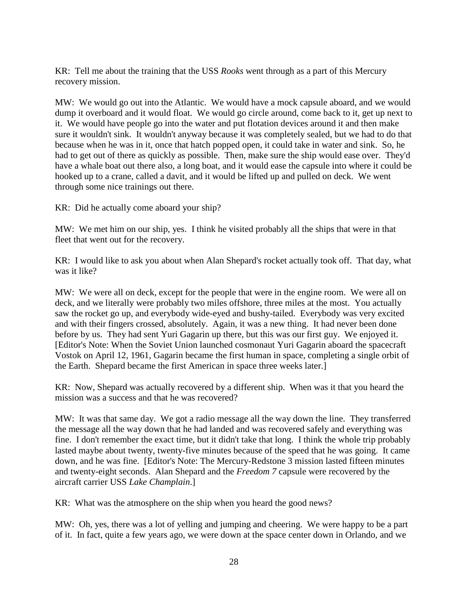KR: Tell me about the training that the USS *Rooks* went through as a part of this Mercury recovery mission.

MW: We would go out into the Atlantic. We would have a mock capsule aboard, and we would dump it overboard and it would float. We would go circle around, come back to it, get up next to it. We would have people go into the water and put flotation devices around it and then make sure it wouldn't sink. It wouldn't anyway because it was completely sealed, but we had to do that because when he was in it, once that hatch popped open, it could take in water and sink. So, he had to get out of there as quickly as possible. Then, make sure the ship would ease over. They'd have a whale boat out there also, a long boat, and it would ease the capsule into where it could be hooked up to a crane, called a davit, and it would be lifted up and pulled on deck. We went through some nice trainings out there.

KR: Did he actually come aboard your ship?

MW: We met him on our ship, yes. I think he visited probably all the ships that were in that fleet that went out for the recovery.

KR: I would like to ask you about when Alan Shepard's rocket actually took off. That day, what was it like?

MW: We were all on deck, except for the people that were in the engine room. We were all on deck, and we literally were probably two miles offshore, three miles at the most. You actually saw the rocket go up, and everybody wide-eyed and bushy-tailed. Everybody was very excited and with their fingers crossed, absolutely. Again, it was a new thing. It had never been done before by us. They had sent Yuri Gagarin up there, but this was our first guy. We enjoyed it. [Editor's Note: When the Soviet Union launched cosmonaut Yuri Gagarin aboard the spacecraft Vostok on April 12, 1961, Gagarin became the first human in space, completing a single orbit of the Earth. Shepard became the first American in space three weeks later.]

KR: Now, Shepard was actually recovered by a different ship. When was it that you heard the mission was a success and that he was recovered?

MW: It was that same day. We got a radio message all the way down the line. They transferred the message all the way down that he had landed and was recovered safely and everything was fine. I don't remember the exact time, but it didn't take that long. I think the whole trip probably lasted maybe about twenty, twenty-five minutes because of the speed that he was going. It came down, and he was fine. [Editor's Note: The Mercury-Redstone 3 mission lasted fifteen minutes and twenty-eight seconds. Alan Shepard and the *Freedom 7* capsule were recovered by the aircraft carrier USS *Lake Champlain*.]

KR: What was the atmosphere on the ship when you heard the good news?

MW: Oh, yes, there was a lot of yelling and jumping and cheering. We were happy to be a part of it. In fact, quite a few years ago, we were down at the space center down in Orlando, and we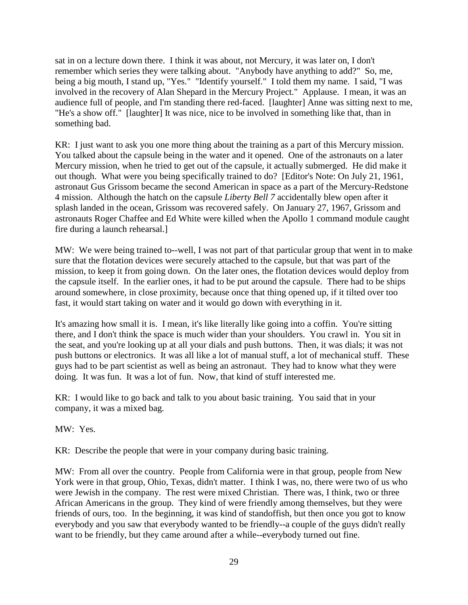sat in on a lecture down there. I think it was about, not Mercury, it was later on, I don't remember which series they were talking about. "Anybody have anything to add?" So, me, being a big mouth, I stand up, "Yes." "Identify yourself." I told them my name. I said, "I was involved in the recovery of Alan Shepard in the Mercury Project." Applause. I mean, it was an audience full of people, and I'm standing there red-faced. [laughter] Anne was sitting next to me, "He's a show off." [laughter] It was nice, nice to be involved in something like that, than in something bad.

KR: I just want to ask you one more thing about the training as a part of this Mercury mission. You talked about the capsule being in the water and it opened. One of the astronauts on a later Mercury mission, when he tried to get out of the capsule, it actually submerged. He did make it out though. What were you being specifically trained to do? [Editor's Note: On July 21, 1961, astronaut Gus Grissom became the second American in space as a part of the Mercury-Redstone 4 mission. Although the hatch on the capsule *Liberty Bell 7* accidentally blew open after it splash landed in the ocean, Grissom was recovered safely. On January 27, 1967, Grissom and astronauts Roger Chaffee and Ed White were killed when the Apollo 1 command module caught fire during a launch rehearsal.]

MW: We were being trained to--well, I was not part of that particular group that went in to make sure that the flotation devices were securely attached to the capsule, but that was part of the mission, to keep it from going down. On the later ones, the flotation devices would deploy from the capsule itself. In the earlier ones, it had to be put around the capsule. There had to be ships around somewhere, in close proximity, because once that thing opened up, if it tilted over too fast, it would start taking on water and it would go down with everything in it.

It's amazing how small it is. I mean, it's like literally like going into a coffin. You're sitting there, and I don't think the space is much wider than your shoulders. You crawl in. You sit in the seat, and you're looking up at all your dials and push buttons. Then, it was dials; it was not push buttons or electronics. It was all like a lot of manual stuff, a lot of mechanical stuff. These guys had to be part scientist as well as being an astronaut. They had to know what they were doing. It was fun. It was a lot of fun. Now, that kind of stuff interested me.

KR: I would like to go back and talk to you about basic training. You said that in your company, it was a mixed bag.

MW: Yes.

KR: Describe the people that were in your company during basic training.

MW: From all over the country. People from California were in that group, people from New York were in that group, Ohio, Texas, didn't matter. I think I was, no, there were two of us who were Jewish in the company. The rest were mixed Christian. There was, I think, two or three African Americans in the group. They kind of were friendly among themselves, but they were friends of ours, too. In the beginning, it was kind of standoffish, but then once you got to know everybody and you saw that everybody wanted to be friendly--a couple of the guys didn't really want to be friendly, but they came around after a while--everybody turned out fine.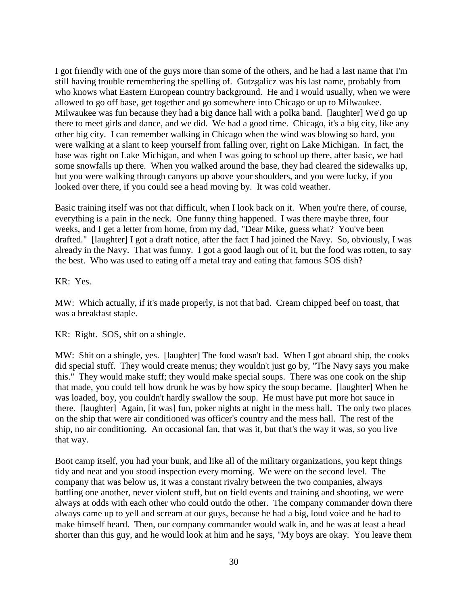I got friendly with one of the guys more than some of the others, and he had a last name that I'm still having trouble remembering the spelling of. Gutzgalicz was his last name, probably from who knows what Eastern European country background. He and I would usually, when we were allowed to go off base, get together and go somewhere into Chicago or up to Milwaukee. Milwaukee was fun because they had a big dance hall with a polka band. [laughter] We'd go up there to meet girls and dance, and we did. We had a good time. Chicago, it's a big city, like any other big city. I can remember walking in Chicago when the wind was blowing so hard, you were walking at a slant to keep yourself from falling over, right on Lake Michigan. In fact, the base was right on Lake Michigan, and when I was going to school up there, after basic, we had some snowfalls up there. When you walked around the base, they had cleared the sidewalks up, but you were walking through canyons up above your shoulders, and you were lucky, if you looked over there, if you could see a head moving by. It was cold weather.

Basic training itself was not that difficult, when I look back on it. When you're there, of course, everything is a pain in the neck. One funny thing happened. I was there maybe three, four weeks, and I get a letter from home, from my dad, "Dear Mike, guess what? You've been drafted." [laughter] I got a draft notice, after the fact I had joined the Navy. So, obviously, I was already in the Navy. That was funny. I got a good laugh out of it, but the food was rotten, to say the best. Who was used to eating off a metal tray and eating that famous SOS dish?

KR: Yes.

MW: Which actually, if it's made properly, is not that bad. Cream chipped beef on toast, that was a breakfast staple.

KR: Right. SOS, shit on a shingle.

MW: Shit on a shingle, yes. [laughter] The food wasn't bad. When I got aboard ship, the cooks did special stuff. They would create menus; they wouldn't just go by, "The Navy says you make this." They would make stuff; they would make special soups. There was one cook on the ship that made, you could tell how drunk he was by how spicy the soup became. [laughter] When he was loaded, boy, you couldn't hardly swallow the soup. He must have put more hot sauce in there. [laughter] Again, [it was] fun, poker nights at night in the mess hall. The only two places on the ship that were air conditioned was officer's country and the mess hall. The rest of the ship, no air conditioning. An occasional fan, that was it, but that's the way it was, so you live that way.

Boot camp itself, you had your bunk, and like all of the military organizations, you kept things tidy and neat and you stood inspection every morning. We were on the second level. The company that was below us, it was a constant rivalry between the two companies, always battling one another, never violent stuff, but on field events and training and shooting, we were always at odds with each other who could outdo the other. The company commander down there always came up to yell and scream at our guys, because he had a big, loud voice and he had to make himself heard. Then, our company commander would walk in, and he was at least a head shorter than this guy, and he would look at him and he says, "My boys are okay. You leave them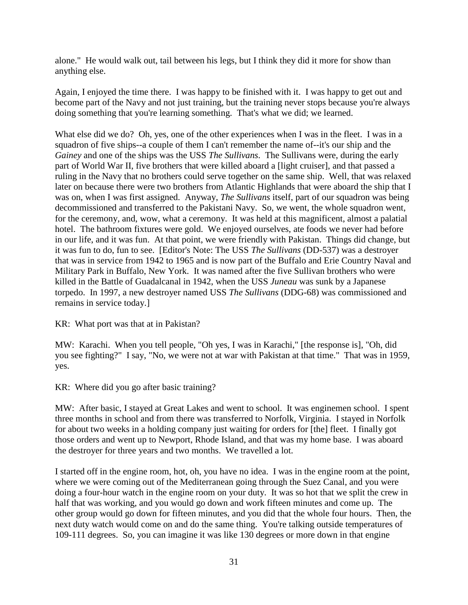alone." He would walk out, tail between his legs, but I think they did it more for show than anything else.

Again, I enjoyed the time there. I was happy to be finished with it. I was happy to get out and become part of the Navy and not just training, but the training never stops because you're always doing something that you're learning something. That's what we did; we learned.

What else did we do? Oh, yes, one of the other experiences when I was in the fleet. I was in a squadron of five ships--a couple of them I can't remember the name of--it's our ship and the *Gainey* and one of the ships was the USS *The Sullivans*. The Sullivans were, during the early part of World War II, five brothers that were killed aboard a [light cruiser], and that passed a ruling in the Navy that no brothers could serve together on the same ship. Well, that was relaxed later on because there were two brothers from Atlantic Highlands that were aboard the ship that I was on, when I was first assigned. Anyway, *The Sullivans* itself, part of our squadron was being decommissioned and transferred to the Pakistani Navy. So, we went, the whole squadron went, for the ceremony, and, wow, what a ceremony. It was held at this magnificent, almost a palatial hotel. The bathroom fixtures were gold. We enjoyed ourselves, ate foods we never had before in our life, and it was fun. At that point, we were friendly with Pakistan. Things did change, but it was fun to do, fun to see. [Editor's Note: The USS *The Sullivans* (DD-537) was a destroyer that was in service from 1942 to 1965 and is now part of the Buffalo and Erie Country Naval and Military Park in Buffalo, New York. It was named after the five Sullivan brothers who were killed in the Battle of Guadalcanal in 1942, when the USS *Juneau* was sunk by a Japanese torpedo. In 1997, a new destroyer named USS *The Sullivans* (DDG-68) was commissioned and remains in service today.]

KR: What port was that at in Pakistan?

MW: Karachi. When you tell people, "Oh yes, I was in Karachi," [the response is], "Oh, did you see fighting?" I say, "No, we were not at war with Pakistan at that time." That was in 1959, yes.

KR: Where did you go after basic training?

MW: After basic, I stayed at Great Lakes and went to school. It was enginemen school. I spent three months in school and from there was transferred to Norfolk, Virginia. I stayed in Norfolk for about two weeks in a holding company just waiting for orders for [the] fleet. I finally got those orders and went up to Newport, Rhode Island, and that was my home base. I was aboard the destroyer for three years and two months. We travelled a lot.

I started off in the engine room, hot, oh, you have no idea. I was in the engine room at the point, where we were coming out of the Mediterranean going through the Suez Canal, and you were doing a four-hour watch in the engine room on your duty. It was so hot that we split the crew in half that was working, and you would go down and work fifteen minutes and come up. The other group would go down for fifteen minutes, and you did that the whole four hours. Then, the next duty watch would come on and do the same thing. You're talking outside temperatures of 109-111 degrees. So, you can imagine it was like 130 degrees or more down in that engine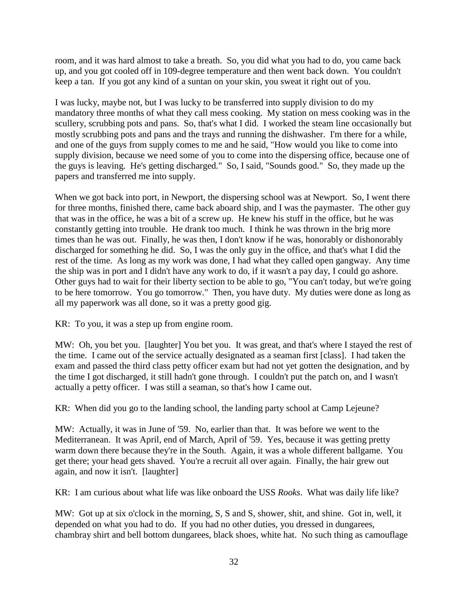room, and it was hard almost to take a breath. So, you did what you had to do, you came back up, and you got cooled off in 109-degree temperature and then went back down. You couldn't keep a tan. If you got any kind of a suntan on your skin, you sweat it right out of you.

I was lucky, maybe not, but I was lucky to be transferred into supply division to do my mandatory three months of what they call mess cooking. My station on mess cooking was in the scullery, scrubbing pots and pans. So, that's what I did. I worked the steam line occasionally but mostly scrubbing pots and pans and the trays and running the dishwasher. I'm there for a while, and one of the guys from supply comes to me and he said, "How would you like to come into supply division, because we need some of you to come into the dispersing office, because one of the guys is leaving. He's getting discharged." So, I said, "Sounds good." So, they made up the papers and transferred me into supply.

When we got back into port, in Newport, the dispersing school was at Newport. So, I went there for three months, finished there, came back aboard ship, and I was the paymaster. The other guy that was in the office, he was a bit of a screw up. He knew his stuff in the office, but he was constantly getting into trouble. He drank too much. I think he was thrown in the brig more times than he was out. Finally, he was then, I don't know if he was, honorably or dishonorably discharged for something he did. So, I was the only guy in the office, and that's what I did the rest of the time. As long as my work was done, I had what they called open gangway. Any time the ship was in port and I didn't have any work to do, if it wasn't a pay day, I could go ashore. Other guys had to wait for their liberty section to be able to go, "You can't today, but we're going to be here tomorrow. You go tomorrow." Then, you have duty. My duties were done as long as all my paperwork was all done, so it was a pretty good gig.

KR: To you, it was a step up from engine room.

MW: Oh, you bet you. [laughter] You bet you. It was great, and that's where I stayed the rest of the time. I came out of the service actually designated as a seaman first [class]. I had taken the exam and passed the third class petty officer exam but had not yet gotten the designation, and by the time I got discharged, it still hadn't gone through. I couldn't put the patch on, and I wasn't actually a petty officer. I was still a seaman, so that's how I came out.

KR: When did you go to the landing school, the landing party school at Camp Lejeune?

MW: Actually, it was in June of '59. No, earlier than that. It was before we went to the Mediterranean. It was April, end of March, April of '59. Yes, because it was getting pretty warm down there because they're in the South. Again, it was a whole different ballgame. You get there; your head gets shaved. You're a recruit all over again. Finally, the hair grew out again, and now it isn't. [laughter]

KR: I am curious about what life was like onboard the USS *Rooks*. What was daily life like?

MW: Got up at six o'clock in the morning, S, S and S, shower, shit, and shine. Got in, well, it depended on what you had to do. If you had no other duties, you dressed in dungarees, chambray shirt and bell bottom dungarees, black shoes, white hat. No such thing as camouflage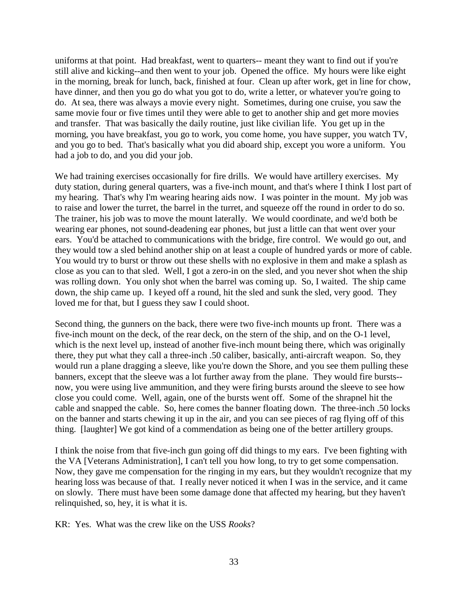uniforms at that point. Had breakfast, went to quarters-- meant they want to find out if you're still alive and kicking--and then went to your job. Opened the office. My hours were like eight in the morning, break for lunch, back, finished at four. Clean up after work, get in line for chow, have dinner, and then you go do what you got to do, write a letter, or whatever you're going to do. At sea, there was always a movie every night. Sometimes, during one cruise, you saw the same movie four or five times until they were able to get to another ship and get more movies and transfer. That was basically the daily routine, just like civilian life. You get up in the morning, you have breakfast, you go to work, you come home, you have supper, you watch TV, and you go to bed. That's basically what you did aboard ship, except you wore a uniform. You had a job to do, and you did your job.

We had training exercises occasionally for fire drills. We would have artillery exercises. My duty station, during general quarters, was a five-inch mount, and that's where I think I lost part of my hearing. That's why I'm wearing hearing aids now. I was pointer in the mount. My job was to raise and lower the turret, the barrel in the turret, and squeeze off the round in order to do so. The trainer, his job was to move the mount laterally. We would coordinate, and we'd both be wearing ear phones, not sound-deadening ear phones, but just a little can that went over your ears. You'd be attached to communications with the bridge, fire control. We would go out, and they would tow a sled behind another ship on at least a couple of hundred yards or more of cable. You would try to burst or throw out these shells with no explosive in them and make a splash as close as you can to that sled. Well, I got a zero-in on the sled, and you never shot when the ship was rolling down. You only shot when the barrel was coming up. So, I waited. The ship came down, the ship came up. I keyed off a round, hit the sled and sunk the sled, very good. They loved me for that, but I guess they saw I could shoot.

Second thing, the gunners on the back, there were two five-inch mounts up front. There was a five-inch mount on the deck, of the rear deck, on the stern of the ship, and on the O-1 level, which is the next level up, instead of another five-inch mount being there, which was originally there, they put what they call a three-inch .50 caliber, basically, anti-aircraft weapon. So, they would run a plane dragging a sleeve, like you're down the Shore, and you see them pulling these banners, except that the sleeve was a lot further away from the plane. They would fire bursts- now, you were using live ammunition, and they were firing bursts around the sleeve to see how close you could come. Well, again, one of the bursts went off. Some of the shrapnel hit the cable and snapped the cable. So, here comes the banner floating down. The three-inch .50 locks on the banner and starts chewing it up in the air, and you can see pieces of rag flying off of this thing. [laughter] We got kind of a commendation as being one of the better artillery groups.

I think the noise from that five-inch gun going off did things to my ears. I've been fighting with the VA [Veterans Administration], I can't tell you how long, to try to get some compensation. Now, they gave me compensation for the ringing in my ears, but they wouldn't recognize that my hearing loss was because of that. I really never noticed it when I was in the service, and it came on slowly. There must have been some damage done that affected my hearing, but they haven't relinquished, so, hey, it is what it is.

KR: Yes. What was the crew like on the USS *Rooks*?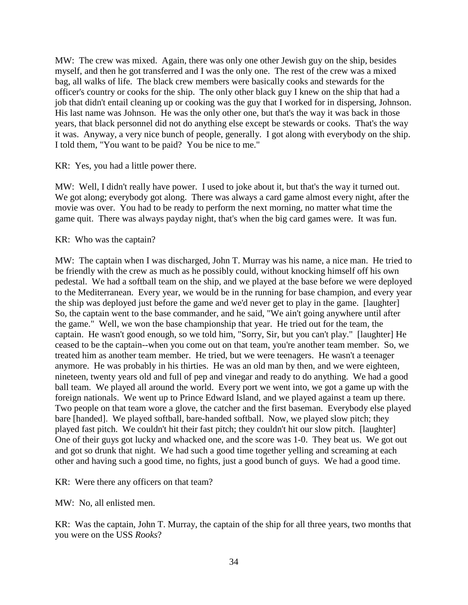MW: The crew was mixed. Again, there was only one other Jewish guy on the ship, besides myself, and then he got transferred and I was the only one. The rest of the crew was a mixed bag, all walks of life. The black crew members were basically cooks and stewards for the officer's country or cooks for the ship. The only other black guy I knew on the ship that had a job that didn't entail cleaning up or cooking was the guy that I worked for in dispersing, Johnson. His last name was Johnson. He was the only other one, but that's the way it was back in those years, that black personnel did not do anything else except be stewards or cooks. That's the way it was. Anyway, a very nice bunch of people, generally. I got along with everybody on the ship. I told them, "You want to be paid? You be nice to me."

KR: Yes, you had a little power there.

MW: Well, I didn't really have power. I used to joke about it, but that's the way it turned out. We got along; everybody got along. There was always a card game almost every night, after the movie was over. You had to be ready to perform the next morning, no matter what time the game quit. There was always payday night, that's when the big card games were. It was fun.

KR: Who was the captain?

MW: The captain when I was discharged, John T. Murray was his name, a nice man. He tried to be friendly with the crew as much as he possibly could, without knocking himself off his own pedestal. We had a softball team on the ship, and we played at the base before we were deployed to the Mediterranean. Every year, we would be in the running for base champion, and every year the ship was deployed just before the game and we'd never get to play in the game. [laughter] So, the captain went to the base commander, and he said, "We ain't going anywhere until after the game." Well, we won the base championship that year. He tried out for the team, the captain. He wasn't good enough, so we told him, "Sorry, Sir, but you can't play." [laughter] He ceased to be the captain--when you come out on that team, you're another team member. So, we treated him as another team member. He tried, but we were teenagers. He wasn't a teenager anymore. He was probably in his thirties. He was an old man by then, and we were eighteen, nineteen, twenty years old and full of pep and vinegar and ready to do anything. We had a good ball team. We played all around the world. Every port we went into, we got a game up with the foreign nationals. We went up to Prince Edward Island, and we played against a team up there. Two people on that team wore a glove, the catcher and the first baseman. Everybody else played bare [handed]. We played softball, bare-handed softball. Now, we played slow pitch; they played fast pitch. We couldn't hit their fast pitch; they couldn't hit our slow pitch. [laughter] One of their guys got lucky and whacked one, and the score was 1-0. They beat us. We got out and got so drunk that night. We had such a good time together yelling and screaming at each other and having such a good time, no fights, just a good bunch of guys. We had a good time.

KR: Were there any officers on that team?

MW: No, all enlisted men.

KR: Was the captain, John T. Murray, the captain of the ship for all three years, two months that you were on the USS *Rooks*?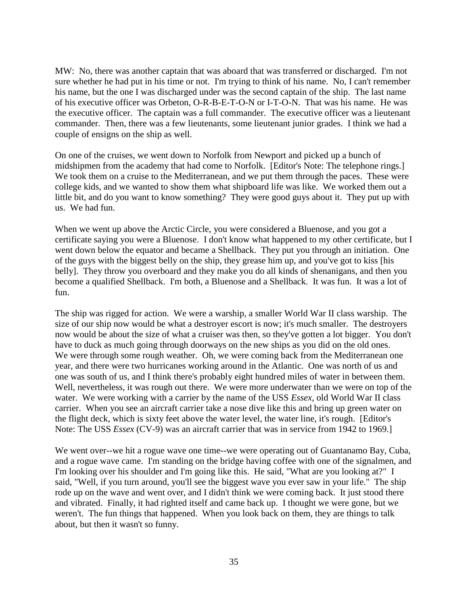MW: No, there was another captain that was aboard that was transferred or discharged. I'm not sure whether he had put in his time or not. I'm trying to think of his name. No, I can't remember his name, but the one I was discharged under was the second captain of the ship. The last name of his executive officer was Orbeton, O-R-B-E-T-O-N or I-T-O-N. That was his name. He was the executive officer. The captain was a full commander. The executive officer was a lieutenant commander. Then, there was a few lieutenants, some lieutenant junior grades. I think we had a couple of ensigns on the ship as well.

On one of the cruises, we went down to Norfolk from Newport and picked up a bunch of midshipmen from the academy that had come to Norfolk. [Editor's Note: The telephone rings.] We took them on a cruise to the Mediterranean, and we put them through the paces. These were college kids, and we wanted to show them what shipboard life was like. We worked them out a little bit, and do you want to know something? They were good guys about it. They put up with us. We had fun.

When we went up above the Arctic Circle, you were considered a Bluenose, and you got a certificate saying you were a Bluenose. I don't know what happened to my other certificate, but I went down below the equator and became a Shellback. They put you through an initiation. One of the guys with the biggest belly on the ship, they grease him up, and you've got to kiss [his belly]. They throw you overboard and they make you do all kinds of shenanigans, and then you become a qualified Shellback. I'm both, a Bluenose and a Shellback. It was fun. It was a lot of fun.

The ship was rigged for action. We were a warship, a smaller World War II class warship. The size of our ship now would be what a destroyer escort is now; it's much smaller. The destroyers now would be about the size of what a cruiser was then, so they've gotten a lot bigger. You don't have to duck as much going through doorways on the new ships as you did on the old ones. We were through some rough weather. Oh, we were coming back from the Mediterranean one year, and there were two hurricanes working around in the Atlantic. One was north of us and one was south of us, and I think there's probably eight hundred miles of water in between them. Well, nevertheless, it was rough out there. We were more underwater than we were on top of the water. We were working with a carrier by the name of the USS *Essex*, old World War II class carrier. When you see an aircraft carrier take a nose dive like this and bring up green water on the flight deck, which is sixty feet above the water level, the water line, it's rough. [Editor's Note: The USS *Essex* (CV-9) was an aircraft carrier that was in service from 1942 to 1969.]

We went over--we hit a rogue wave one time--we were operating out of Guantanamo Bay, Cuba, and a rogue wave came. I'm standing on the bridge having coffee with one of the signalmen, and I'm looking over his shoulder and I'm going like this. He said, "What are you looking at?" I said, "Well, if you turn around, you'll see the biggest wave you ever saw in your life." The ship rode up on the wave and went over, and I didn't think we were coming back. It just stood there and vibrated. Finally, it had righted itself and came back up. I thought we were gone, but we weren't. The fun things that happened. When you look back on them, they are things to talk about, but then it wasn't so funny.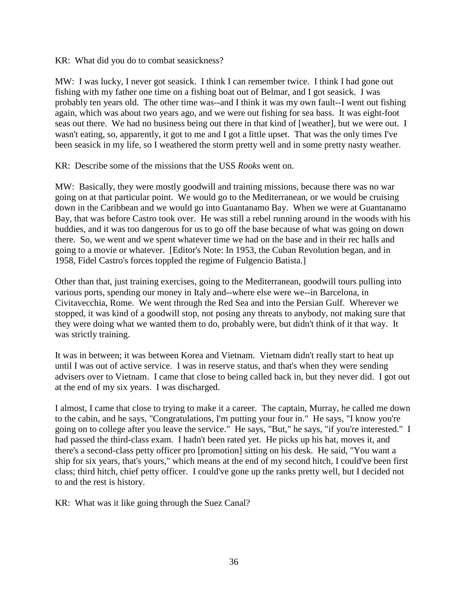KR: What did you do to combat seasickness?

MW: I was lucky, I never got seasick. I think I can remember twice. I think I had gone out fishing with my father one time on a fishing boat out of Belmar, and I got seasick. I was probably ten years old. The other time was--and I think it was my own fault--I went out fishing again, which was about two years ago, and we were out fishing for sea bass. It was eight-foot seas out there. We had no business being out there in that kind of [weather], but we were out. I wasn't eating, so, apparently, it got to me and I got a little upset. That was the only times I've been seasick in my life, so I weathered the storm pretty well and in some pretty nasty weather.

KR: Describe some of the missions that the USS *Rooks* went on.

MW: Basically, they were mostly goodwill and training missions, because there was no war going on at that particular point. We would go to the Mediterranean, or we would be cruising down in the Caribbean and we would go into Guantanamo Bay. When we were at Guantanamo Bay, that was before Castro took over. He was still a rebel running around in the woods with his buddies, and it was too dangerous for us to go off the base because of what was going on down there. So, we went and we spent whatever time we had on the base and in their rec halls and going to a movie or whatever. [Editor's Note: In 1953, the Cuban Revolution began, and in 1958, Fidel Castro's forces toppled the regime of Fulgencio Batista.]

Other than that, just training exercises, going to the Mediterranean, goodwill tours pulling into various ports, spending our money in Italy and--where else were we--in Barcelona, in Civitavecchia, Rome. We went through the Red Sea and into the Persian Gulf. Wherever we stopped, it was kind of a goodwill stop, not posing any threats to anybody, not making sure that they were doing what we wanted them to do, probably were, but didn't think of it that way. It was strictly training.

It was in between; it was between Korea and Vietnam. Vietnam didn't really start to heat up until I was out of active service. I was in reserve status, and that's when they were sending advisers over to Vietnam. I came that close to being called back in, but they never did. I got out at the end of my six years. I was discharged.

I almost, I came that close to trying to make it a career. The captain, Murray, he called me down to the cabin, and he says, "Congratulations, I'm putting your four in." He says, "I know you're going on to college after you leave the service." He says, "But," he says, "if you're interested." I had passed the third-class exam. I hadn't been rated yet. He picks up his hat, moves it, and there's a second-class petty officer pro [promotion] sitting on his desk. He said, "You want a ship for six years, that's yours," which means at the end of my second hitch, I could've been first class; third hitch, chief petty officer. I could've gone up the ranks pretty well, but I decided not to and the rest is history.

KR: What was it like going through the Suez Canal?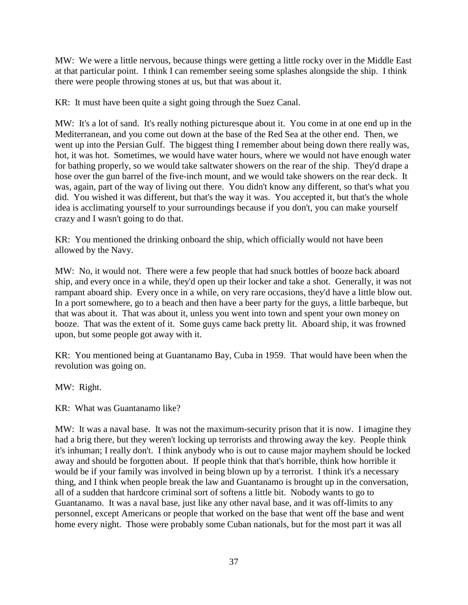MW: We were a little nervous, because things were getting a little rocky over in the Middle East at that particular point. I think I can remember seeing some splashes alongside the ship. I think there were people throwing stones at us, but that was about it.

KR: It must have been quite a sight going through the Suez Canal.

MW: It's a lot of sand. It's really nothing picturesque about it. You come in at one end up in the Mediterranean, and you come out down at the base of the Red Sea at the other end. Then, we went up into the Persian Gulf. The biggest thing I remember about being down there really was, hot, it was hot. Sometimes, we would have water hours, where we would not have enough water for bathing properly, so we would take saltwater showers on the rear of the ship. They'd drape a hose over the gun barrel of the five-inch mount, and we would take showers on the rear deck. It was, again, part of the way of living out there. You didn't know any different, so that's what you did. You wished it was different, but that's the way it was. You accepted it, but that's the whole idea is acclimating yourself to your surroundings because if you don't, you can make yourself crazy and I wasn't going to do that.

KR: You mentioned the drinking onboard the ship, which officially would not have been allowed by the Navy.

MW: No, it would not. There were a few people that had snuck bottles of booze back aboard ship, and every once in a while, they'd open up their locker and take a shot. Generally, it was not rampant aboard ship. Every once in a while, on very rare occasions, they'd have a little blow out. In a port somewhere, go to a beach and then have a beer party for the guys, a little barbeque, but that was about it. That was about it, unless you went into town and spent your own money on booze. That was the extent of it. Some guys came back pretty lit. Aboard ship, it was frowned upon, but some people got away with it.

KR: You mentioned being at Guantanamo Bay, Cuba in 1959. That would have been when the revolution was going on.

MW: Right.

KR: What was Guantanamo like?

MW: It was a naval base. It was not the maximum-security prison that it is now. I imagine they had a brig there, but they weren't locking up terrorists and throwing away the key. People think it's inhuman; I really don't. I think anybody who is out to cause major mayhem should be locked away and should be forgotten about. If people think that that's horrible, think how horrible it would be if your family was involved in being blown up by a terrorist. I think it's a necessary thing, and I think when people break the law and Guantanamo is brought up in the conversation, all of a sudden that hardcore criminal sort of softens a little bit. Nobody wants to go to Guantanamo. It was a naval base, just like any other naval base, and it was off-limits to any personnel, except Americans or people that worked on the base that went off the base and went home every night. Those were probably some Cuban nationals, but for the most part it was all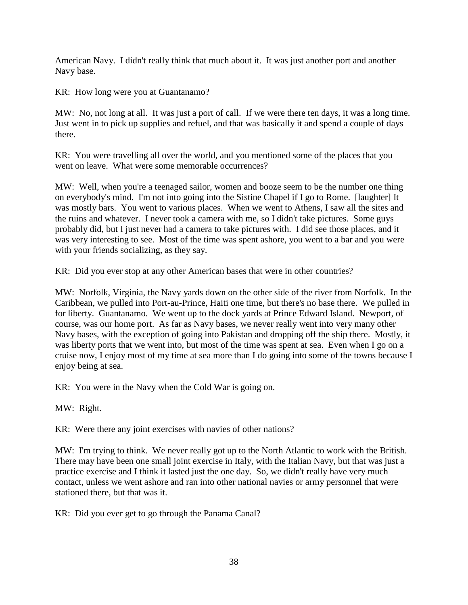American Navy. I didn't really think that much about it. It was just another port and another Navy base.

KR: How long were you at Guantanamo?

MW: No, not long at all. It was just a port of call. If we were there ten days, it was a long time. Just went in to pick up supplies and refuel, and that was basically it and spend a couple of days there.

KR: You were travelling all over the world, and you mentioned some of the places that you went on leave. What were some memorable occurrences?

MW: Well, when you're a teenaged sailor, women and booze seem to be the number one thing on everybody's mind. I'm not into going into the Sistine Chapel if I go to Rome. [laughter] It was mostly bars. You went to various places. When we went to Athens, I saw all the sites and the ruins and whatever. I never took a camera with me, so I didn't take pictures. Some guys probably did, but I just never had a camera to take pictures with. I did see those places, and it was very interesting to see. Most of the time was spent ashore, you went to a bar and you were with your friends socializing, as they say.

KR: Did you ever stop at any other American bases that were in other countries?

MW: Norfolk, Virginia, the Navy yards down on the other side of the river from Norfolk. In the Caribbean, we pulled into Port-au-Prince, Haiti one time, but there's no base there. We pulled in for liberty. Guantanamo. We went up to the dock yards at Prince Edward Island. Newport, of course, was our home port. As far as Navy bases, we never really went into very many other Navy bases, with the exception of going into Pakistan and dropping off the ship there. Mostly, it was liberty ports that we went into, but most of the time was spent at sea. Even when I go on a cruise now, I enjoy most of my time at sea more than I do going into some of the towns because I enjoy being at sea.

KR: You were in the Navy when the Cold War is going on.

MW: Right.

KR: Were there any joint exercises with navies of other nations?

MW: I'm trying to think. We never really got up to the North Atlantic to work with the British. There may have been one small joint exercise in Italy, with the Italian Navy, but that was just a practice exercise and I think it lasted just the one day. So, we didn't really have very much contact, unless we went ashore and ran into other national navies or army personnel that were stationed there, but that was it.

KR: Did you ever get to go through the Panama Canal?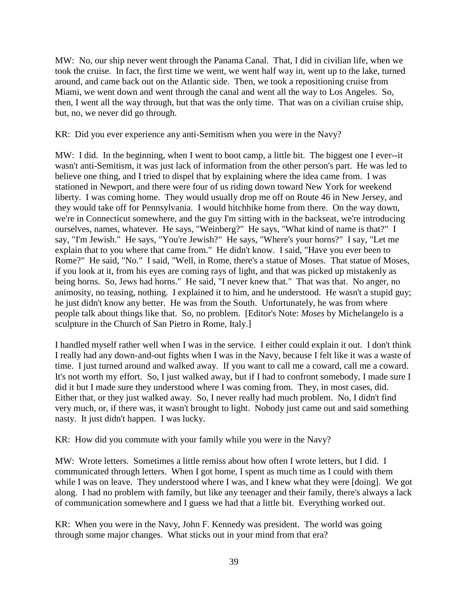MW: No, our ship never went through the Panama Canal. That, I did in civilian life, when we took the cruise. In fact, the first time we went, we went half way in, went up to the lake, turned around, and came back out on the Atlantic side. Then, we took a repositioning cruise from Miami, we went down and went through the canal and went all the way to Los Angeles. So, then, I went all the way through, but that was the only time. That was on a civilian cruise ship, but, no, we never did go through.

KR: Did you ever experience any anti-Semitism when you were in the Navy?

MW: I did. In the beginning, when I went to boot camp, a little bit. The biggest one I ever--it wasn't anti-Semitism, it was just lack of information from the other person's part. He was led to believe one thing, and I tried to dispel that by explaining where the idea came from. I was stationed in Newport, and there were four of us riding down toward New York for weekend liberty. I was coming home. They would usually drop me off on Route 46 in New Jersey, and they would take off for Pennsylvania. I would hitchhike home from there. On the way down, we're in Connecticut somewhere, and the guy I'm sitting with in the backseat, we're introducing ourselves, names, whatever. He says, "Weinberg?" He says, "What kind of name is that?" I say, "I'm Jewish." He says, "You're Jewish?" He says, "Where's your horns?" I say, "Let me explain that to you where that came from." He didn't know. I said, "Have you ever been to Rome?" He said, "No." I said, "Well, in Rome, there's a statue of Moses. That statue of Moses, if you look at it, from his eyes are coming rays of light, and that was picked up mistakenly as being horns. So, Jews had horns." He said, "I never knew that." That was that. No anger, no animosity, no teasing, nothing. I explained it to him, and he understood. He wasn't a stupid guy; he just didn't know any better. He was from the South. Unfortunately, he was from where people talk about things like that. So, no problem. [Editor's Note: *Moses* by Michelangelo is a sculpture in the Church of San Pietro in Rome, Italy.]

I handled myself rather well when I was in the service. I either could explain it out. I don't think I really had any down-and-out fights when I was in the Navy, because I felt like it was a waste of time. I just turned around and walked away. If you want to call me a coward, call me a coward. It's not worth my effort. So, I just walked away, but if I had to confront somebody, I made sure I did it but I made sure they understood where I was coming from. They, in most cases, did. Either that, or they just walked away. So, I never really had much problem. No, I didn't find very much, or, if there was, it wasn't brought to light. Nobody just came out and said something nasty. It just didn't happen. I was lucky.

KR: How did you commute with your family while you were in the Navy?

MW: Wrote letters. Sometimes a little remiss about how often I wrote letters, but I did. I communicated through letters. When I got home, I spent as much time as I could with them while I was on leave. They understood where I was, and I knew what they were [doing]. We got along. I had no problem with family, but like any teenager and their family, there's always a lack of communication somewhere and I guess we had that a little bit. Everything worked out.

KR: When you were in the Navy, John F. Kennedy was president. The world was going through some major changes. What sticks out in your mind from that era?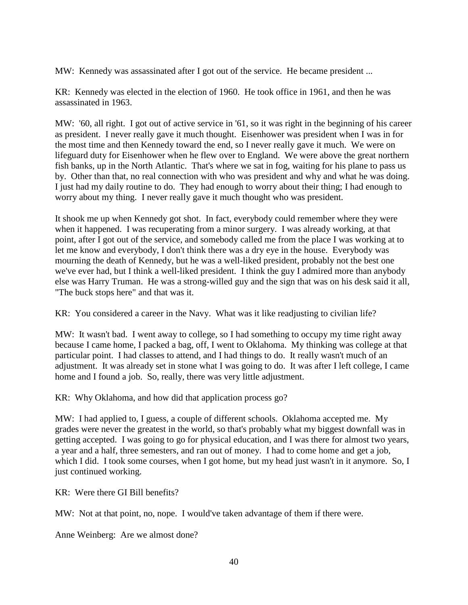MW: Kennedy was assassinated after I got out of the service. He became president ...

KR: Kennedy was elected in the election of 1960. He took office in 1961, and then he was assassinated in 1963.

MW: '60, all right. I got out of active service in '61, so it was right in the beginning of his career as president. I never really gave it much thought. Eisenhower was president when I was in for the most time and then Kennedy toward the end, so I never really gave it much. We were on lifeguard duty for Eisenhower when he flew over to England. We were above the great northern fish banks, up in the North Atlantic. That's where we sat in fog, waiting for his plane to pass us by. Other than that, no real connection with who was president and why and what he was doing. I just had my daily routine to do. They had enough to worry about their thing; I had enough to worry about my thing. I never really gave it much thought who was president.

It shook me up when Kennedy got shot. In fact, everybody could remember where they were when it happened. I was recuperating from a minor surgery. I was already working, at that point, after I got out of the service, and somebody called me from the place I was working at to let me know and everybody, I don't think there was a dry eye in the house. Everybody was mourning the death of Kennedy, but he was a well-liked president, probably not the best one we've ever had, but I think a well-liked president. I think the guy I admired more than anybody else was Harry Truman. He was a strong-willed guy and the sign that was on his desk said it all, "The buck stops here" and that was it.

KR: You considered a career in the Navy. What was it like readjusting to civilian life?

MW: It wasn't bad. I went away to college, so I had something to occupy my time right away because I came home, I packed a bag, off, I went to Oklahoma. My thinking was college at that particular point. I had classes to attend, and I had things to do. It really wasn't much of an adjustment. It was already set in stone what I was going to do. It was after I left college, I came home and I found a job. So, really, there was very little adjustment.

KR: Why Oklahoma, and how did that application process go?

MW: I had applied to, I guess, a couple of different schools. Oklahoma accepted me. My grades were never the greatest in the world, so that's probably what my biggest downfall was in getting accepted. I was going to go for physical education, and I was there for almost two years, a year and a half, three semesters, and ran out of money. I had to come home and get a job, which I did. I took some courses, when I got home, but my head just wasn't in it anymore. So, I just continued working.

KR: Were there GI Bill benefits?

MW: Not at that point, no, nope. I would've taken advantage of them if there were.

Anne Weinberg: Are we almost done?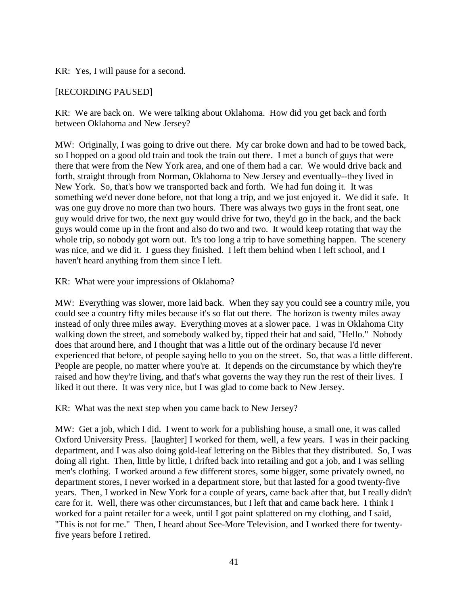KR: Yes, I will pause for a second.

## [RECORDING PAUSED]

KR: We are back on. We were talking about Oklahoma. How did you get back and forth between Oklahoma and New Jersey?

MW: Originally, I was going to drive out there. My car broke down and had to be towed back, so I hopped on a good old train and took the train out there. I met a bunch of guys that were there that were from the New York area, and one of them had a car. We would drive back and forth, straight through from Norman, Oklahoma to New Jersey and eventually--they lived in New York. So, that's how we transported back and forth. We had fun doing it. It was something we'd never done before, not that long a trip, and we just enjoyed it. We did it safe. It was one guy drove no more than two hours. There was always two guys in the front seat, one guy would drive for two, the next guy would drive for two, they'd go in the back, and the back guys would come up in the front and also do two and two. It would keep rotating that way the whole trip, so nobody got worn out. It's too long a trip to have something happen. The scenery was nice, and we did it. I guess they finished. I left them behind when I left school, and I haven't heard anything from them since I left.

KR: What were your impressions of Oklahoma?

MW: Everything was slower, more laid back. When they say you could see a country mile, you could see a country fifty miles because it's so flat out there. The horizon is twenty miles away instead of only three miles away. Everything moves at a slower pace. I was in Oklahoma City walking down the street, and somebody walked by, tipped their hat and said, "Hello." Nobody does that around here, and I thought that was a little out of the ordinary because I'd never experienced that before, of people saying hello to you on the street. So, that was a little different. People are people, no matter where you're at. It depends on the circumstance by which they're raised and how they're living, and that's what governs the way they run the rest of their lives. I liked it out there. It was very nice, but I was glad to come back to New Jersey.

KR: What was the next step when you came back to New Jersey?

MW: Get a job, which I did. I went to work for a publishing house, a small one, it was called Oxford University Press. [laughter] I worked for them, well, a few years. I was in their packing department, and I was also doing gold-leaf lettering on the Bibles that they distributed. So, I was doing all right. Then, little by little, I drifted back into retailing and got a job, and I was selling men's clothing. I worked around a few different stores, some bigger, some privately owned, no department stores, I never worked in a department store, but that lasted for a good twenty-five years. Then, I worked in New York for a couple of years, came back after that, but I really didn't care for it. Well, there was other circumstances, but I left that and came back here. I think I worked for a paint retailer for a week, until I got paint splattered on my clothing, and I said, "This is not for me." Then, I heard about See-More Television, and I worked there for twentyfive years before I retired.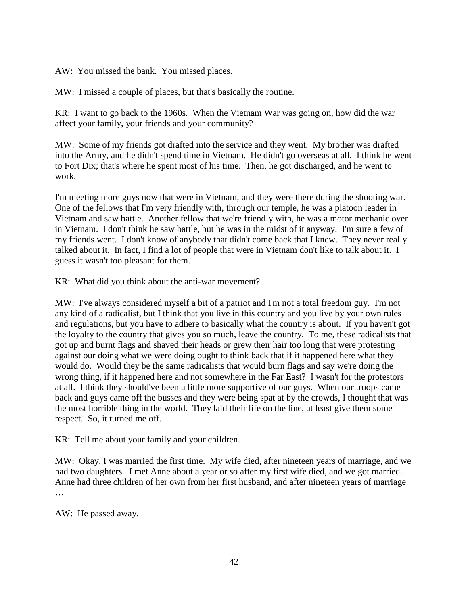AW: You missed the bank. You missed places.

MW: I missed a couple of places, but that's basically the routine.

KR: I want to go back to the 1960s. When the Vietnam War was going on, how did the war affect your family, your friends and your community?

MW: Some of my friends got drafted into the service and they went. My brother was drafted into the Army, and he didn't spend time in Vietnam. He didn't go overseas at all. I think he went to Fort Dix; that's where he spent most of his time. Then, he got discharged, and he went to work.

I'm meeting more guys now that were in Vietnam, and they were there during the shooting war. One of the fellows that I'm very friendly with, through our temple, he was a platoon leader in Vietnam and saw battle. Another fellow that we're friendly with, he was a motor mechanic over in Vietnam. I don't think he saw battle, but he was in the midst of it anyway. I'm sure a few of my friends went. I don't know of anybody that didn't come back that I knew. They never really talked about it. In fact, I find a lot of people that were in Vietnam don't like to talk about it. I guess it wasn't too pleasant for them.

KR: What did you think about the anti-war movement?

MW: I've always considered myself a bit of a patriot and I'm not a total freedom guy. I'm not any kind of a radicalist, but I think that you live in this country and you live by your own rules and regulations, but you have to adhere to basically what the country is about. If you haven't got the loyalty to the country that gives you so much, leave the country. To me, these radicalists that got up and burnt flags and shaved their heads or grew their hair too long that were protesting against our doing what we were doing ought to think back that if it happened here what they would do. Would they be the same radicalists that would burn flags and say we're doing the wrong thing, if it happened here and not somewhere in the Far East? I wasn't for the protestors at all. I think they should've been a little more supportive of our guys. When our troops came back and guys came off the busses and they were being spat at by the crowds, I thought that was the most horrible thing in the world. They laid their life on the line, at least give them some respect. So, it turned me off.

KR: Tell me about your family and your children.

MW: Okay, I was married the first time. My wife died, after nineteen years of marriage, and we had two daughters. I met Anne about a year or so after my first wife died, and we got married. Anne had three children of her own from her first husband, and after nineteen years of marriage …

AW: He passed away.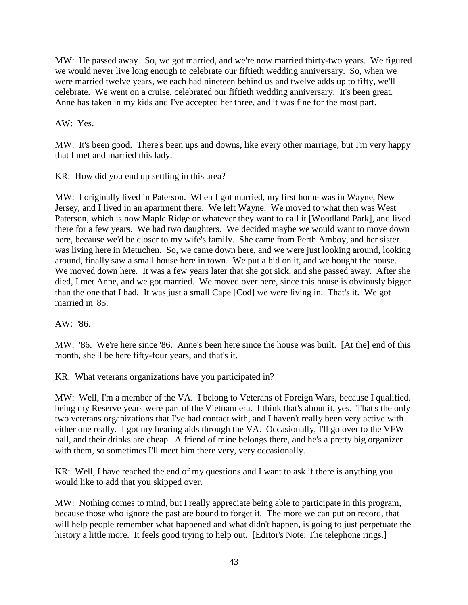MW: He passed away. So, we got married, and we're now married thirty-two years. We figured we would never live long enough to celebrate our fiftieth wedding anniversary. So, when we were married twelve years, we each had nineteen behind us and twelve adds up to fifty, we'll celebrate. We went on a cruise, celebrated our fiftieth wedding anniversary. It's been great. Anne has taken in my kids and I've accepted her three, and it was fine for the most part.

AW: Yes.

MW: It's been good. There's been ups and downs, like every other marriage, but I'm very happy that I met and married this lady.

KR: How did you end up settling in this area?

MW: I originally lived in Paterson. When I got married, my first home was in Wayne, New Jersey, and I lived in an apartment there. We left Wayne. We moved to what then was West Paterson, which is now Maple Ridge or whatever they want to call it [Woodland Park], and lived there for a few years. We had two daughters. We decided maybe we would want to move down here, because we'd be closer to my wife's family. She came from Perth Amboy, and her sister was living here in Metuchen. So, we came down here, and we were just looking around, looking around, finally saw a small house here in town. We put a bid on it, and we bought the house. We moved down here. It was a few years later that she got sick, and she passed away. After she died, I met Anne, and we got married. We moved over here, since this house is obviously bigger than the one that I had. It was just a small Cape [Cod] we were living in. That's it. We got married in '85.

AW: '86.

MW: '86. We're here since '86. Anne's been here since the house was built. [At the] end of this month, she'll be here fifty-four years, and that's it.

KR: What veterans organizations have you participated in?

MW: Well, I'm a member of the VA. I belong to Veterans of Foreign Wars, because I qualified, being my Reserve years were part of the Vietnam era. I think that's about it, yes. That's the only two veterans organizations that I've had contact with, and I haven't really been very active with either one really. I got my hearing aids through the VA. Occasionally, I'll go over to the VFW hall, and their drinks are cheap. A friend of mine belongs there, and he's a pretty big organizer with them, so sometimes I'll meet him there very, very occasionally.

KR: Well, I have reached the end of my questions and I want to ask if there is anything you would like to add that you skipped over.

MW: Nothing comes to mind, but I really appreciate being able to participate in this program, because those who ignore the past are bound to forget it. The more we can put on record, that will help people remember what happened and what didn't happen, is going to just perpetuate the history a little more. It feels good trying to help out. [Editor's Note: The telephone rings.]